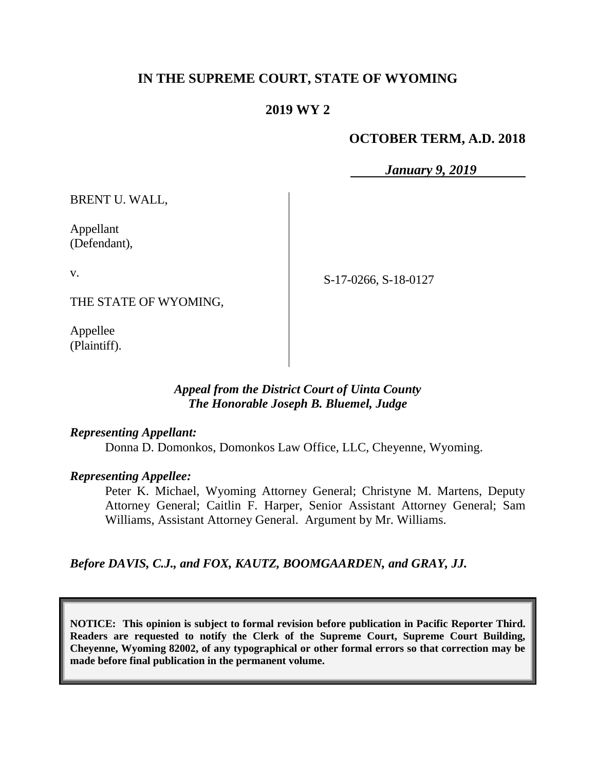## **IN THE SUPREME COURT, STATE OF WYOMING**

### **2019 WY 2**

### **OCTOBER TERM, A.D. 2018**

*January 9, 2019*

BRENT U. WALL,

Appellant (Defendant),

v.

S-17-0266, S-18-0127

THE STATE OF WYOMING,

Appellee (Plaintiff).

#### *Appeal from the District Court of Uinta County The Honorable Joseph B. Bluemel, Judge*

#### *Representing Appellant:*

Donna D. Domonkos, Domonkos Law Office, LLC, Cheyenne, Wyoming.

#### *Representing Appellee:*

Peter K. Michael, Wyoming Attorney General; Christyne M. Martens, Deputy Attorney General; Caitlin F. Harper, Senior Assistant Attorney General; Sam Williams, Assistant Attorney General. Argument by Mr. Williams.

*Before DAVIS, C.J., and FOX, KAUTZ, BOOMGAARDEN, and GRAY, JJ.*

**NOTICE: This opinion is subject to formal revision before publication in Pacific Reporter Third. Readers are requested to notify the Clerk of the Supreme Court, Supreme Court Building, Cheyenne, Wyoming 82002, of any typographical or other formal errors so that correction may be made before final publication in the permanent volume.**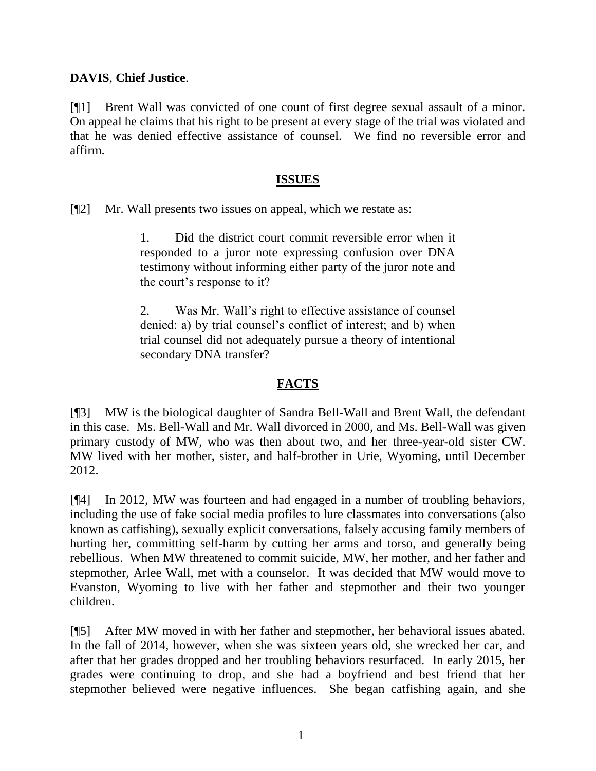### **DAVIS**, **Chief Justice**.

[¶1] Brent Wall was convicted of one count of first degree sexual assault of a minor. On appeal he claims that his right to be present at every stage of the trial was violated and that he was denied effective assistance of counsel. We find no reversible error and affirm.

### **ISSUES**

[¶2] Mr. Wall presents two issues on appeal, which we restate as:

1. Did the district court commit reversible error when it responded to a juror note expressing confusion over DNA testimony without informing either party of the juror note and the court's response to it?

2. Was Mr. Wall's right to effective assistance of counsel denied: a) by trial counsel's conflict of interest; and b) when trial counsel did not adequately pursue a theory of intentional secondary DNA transfer?

### **FACTS**

[¶3] MW is the biological daughter of Sandra Bell-Wall and Brent Wall, the defendant in this case. Ms. Bell-Wall and Mr. Wall divorced in 2000, and Ms. Bell-Wall was given primary custody of MW, who was then about two, and her three-year-old sister CW. MW lived with her mother, sister, and half-brother in Urie, Wyoming, until December 2012.

[¶4] In 2012, MW was fourteen and had engaged in a number of troubling behaviors, including the use of fake social media profiles to lure classmates into conversations (also known as catfishing), sexually explicit conversations, falsely accusing family members of hurting her, committing self-harm by cutting her arms and torso, and generally being rebellious. When MW threatened to commit suicide, MW, her mother, and her father and stepmother, Arlee Wall, met with a counselor. It was decided that MW would move to Evanston, Wyoming to live with her father and stepmother and their two younger children.

[¶5] After MW moved in with her father and stepmother, her behavioral issues abated. In the fall of 2014, however, when she was sixteen years old, she wrecked her car, and after that her grades dropped and her troubling behaviors resurfaced. In early 2015, her grades were continuing to drop, and she had a boyfriend and best friend that her stepmother believed were negative influences. She began catfishing again, and she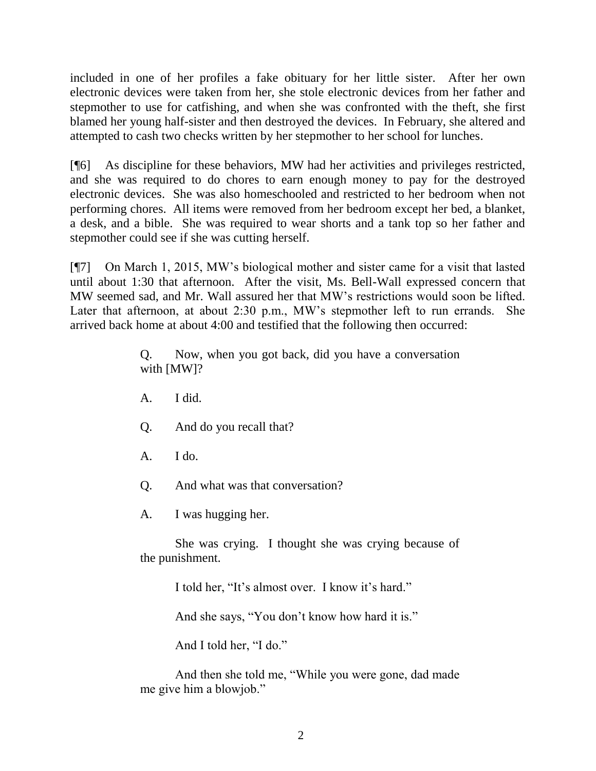included in one of her profiles a fake obituary for her little sister. After her own electronic devices were taken from her, she stole electronic devices from her father and stepmother to use for catfishing, and when she was confronted with the theft, she first blamed her young half-sister and then destroyed the devices. In February, she altered and attempted to cash two checks written by her stepmother to her school for lunches.

[¶6] As discipline for these behaviors, MW had her activities and privileges restricted, and she was required to do chores to earn enough money to pay for the destroyed electronic devices. She was also homeschooled and restricted to her bedroom when not performing chores. All items were removed from her bedroom except her bed, a blanket, a desk, and a bible. She was required to wear shorts and a tank top so her father and stepmother could see if she was cutting herself.

[¶7] On March 1, 2015, MW's biological mother and sister came for a visit that lasted until about 1:30 that afternoon. After the visit, Ms. Bell-Wall expressed concern that MW seemed sad, and Mr. Wall assured her that MW's restrictions would soon be lifted. Later that afternoon, at about 2:30 p.m., MW's stepmother left to run errands. She arrived back home at about 4:00 and testified that the following then occurred:

> Q. Now, when you got back, did you have a conversation with [MW]?

- A. I did.
- Q. And do you recall that?
- $A.$  I do.
- Q. And what was that conversation?

A. I was hugging her.

She was crying. I thought she was crying because of the punishment.

I told her, "It's almost over. I know it's hard."

And she says, "You don't know how hard it is."

And I told her, "I do."

And then she told me, "While you were gone, dad made me give him a blowjob."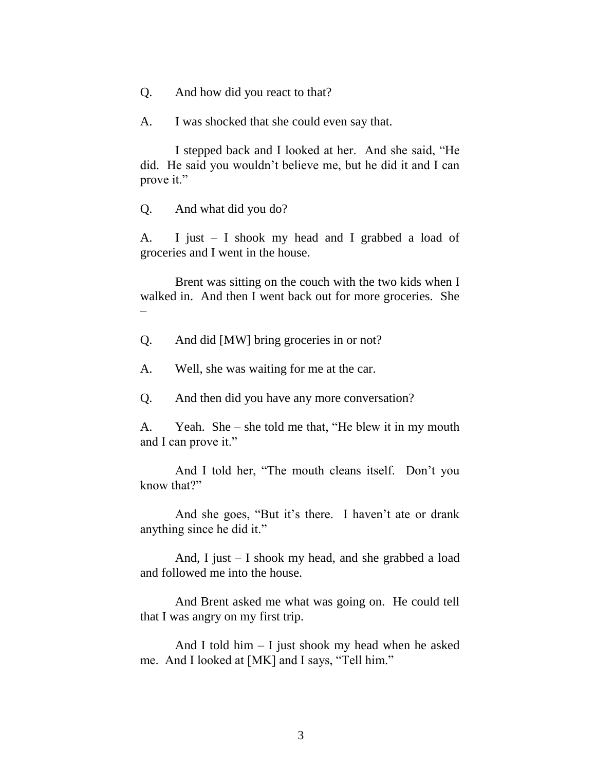Q. And how did you react to that?

A. I was shocked that she could even say that.

I stepped back and I looked at her. And she said, "He did. He said you wouldn't believe me, but he did it and I can prove it."

Q. And what did you do?

A. I just – I shook my head and I grabbed a load of groceries and I went in the house.

Brent was sitting on the couch with the two kids when I walked in. And then I went back out for more groceries. She –

Q. And did [MW] bring groceries in or not?

A. Well, she was waiting for me at the car.

Q. And then did you have any more conversation?

A. Yeah. She – she told me that, "He blew it in my mouth and I can prove it."

And I told her, "The mouth cleans itself. Don't you know that?"

And she goes, "But it's there. I haven't ate or drank anything since he did it."

And, I just – I shook my head, and she grabbed a load and followed me into the house.

And Brent asked me what was going on. He could tell that I was angry on my first trip.

And I told him  $-$  I just shook my head when he asked me. And I looked at [MK] and I says, "Tell him."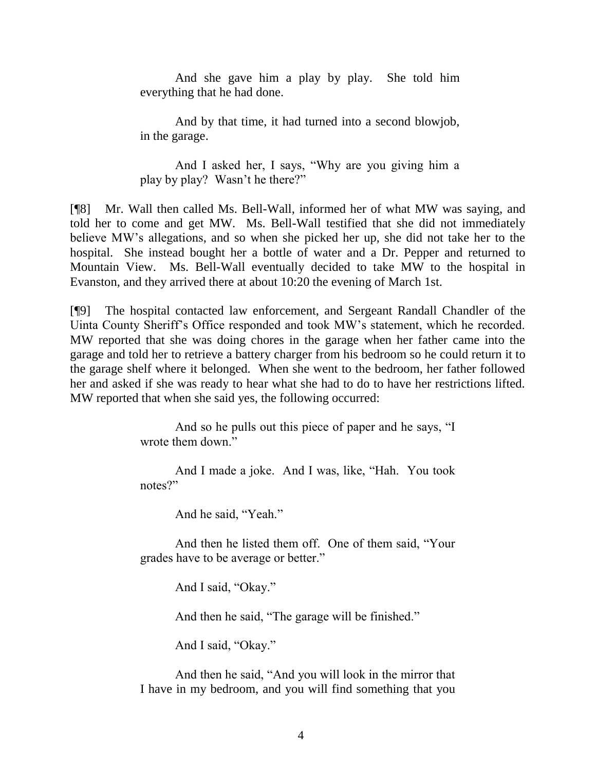And she gave him a play by play. She told him everything that he had done.

And by that time, it had turned into a second blowjob, in the garage.

And I asked her, I says, "Why are you giving him a play by play? Wasn't he there?"

[¶8] Mr. Wall then called Ms. Bell-Wall, informed her of what MW was saying, and told her to come and get MW. Ms. Bell-Wall testified that she did not immediately believe MW's allegations, and so when she picked her up, she did not take her to the hospital. She instead bought her a bottle of water and a Dr. Pepper and returned to Mountain View. Ms. Bell-Wall eventually decided to take MW to the hospital in Evanston, and they arrived there at about 10:20 the evening of March 1st.

[¶9] The hospital contacted law enforcement, and Sergeant Randall Chandler of the Uinta County Sheriff's Office responded and took MW's statement, which he recorded. MW reported that she was doing chores in the garage when her father came into the garage and told her to retrieve a battery charger from his bedroom so he could return it to the garage shelf where it belonged. When she went to the bedroom, her father followed her and asked if she was ready to hear what she had to do to have her restrictions lifted. MW reported that when she said yes, the following occurred:

> And so he pulls out this piece of paper and he says, "I wrote them down."

> And I made a joke. And I was, like, "Hah. You took notes?"

> > And he said, "Yeah."

And then he listed them off. One of them said, "Your grades have to be average or better."

And I said, "Okay."

And then he said, "The garage will be finished."

And I said, "Okay."

And then he said, "And you will look in the mirror that I have in my bedroom, and you will find something that you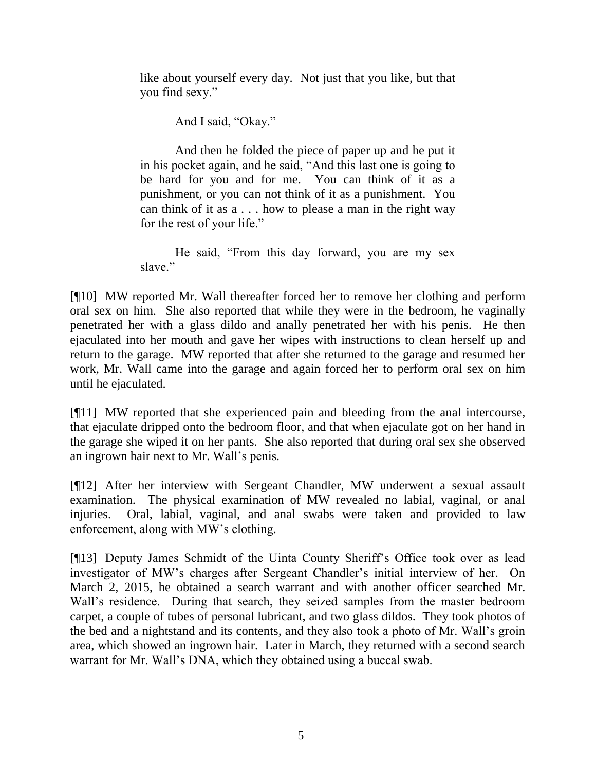like about yourself every day. Not just that you like, but that you find sexy."

And I said, "Okay."

And then he folded the piece of paper up and he put it in his pocket again, and he said, "And this last one is going to be hard for you and for me. You can think of it as a punishment, or you can not think of it as a punishment. You can think of it as a . . . how to please a man in the right way for the rest of your life."

He said, "From this day forward, you are my sex slave."

[¶10] MW reported Mr. Wall thereafter forced her to remove her clothing and perform oral sex on him. She also reported that while they were in the bedroom, he vaginally penetrated her with a glass dildo and anally penetrated her with his penis. He then ejaculated into her mouth and gave her wipes with instructions to clean herself up and return to the garage. MW reported that after she returned to the garage and resumed her work, Mr. Wall came into the garage and again forced her to perform oral sex on him until he ejaculated.

[¶11] MW reported that she experienced pain and bleeding from the anal intercourse, that ejaculate dripped onto the bedroom floor, and that when ejaculate got on her hand in the garage she wiped it on her pants. She also reported that during oral sex she observed an ingrown hair next to Mr. Wall's penis.

[¶12] After her interview with Sergeant Chandler, MW underwent a sexual assault examination. The physical examination of MW revealed no labial, vaginal, or anal injuries. Oral, labial, vaginal, and anal swabs were taken and provided to law enforcement, along with MW's clothing.

[¶13] Deputy James Schmidt of the Uinta County Sheriff's Office took over as lead investigator of MW's charges after Sergeant Chandler's initial interview of her. On March 2, 2015, he obtained a search warrant and with another officer searched Mr. Wall's residence. During that search, they seized samples from the master bedroom carpet, a couple of tubes of personal lubricant, and two glass dildos. They took photos of the bed and a nightstand and its contents, and they also took a photo of Mr. Wall's groin area, which showed an ingrown hair. Later in March, they returned with a second search warrant for Mr. Wall's DNA, which they obtained using a buccal swab.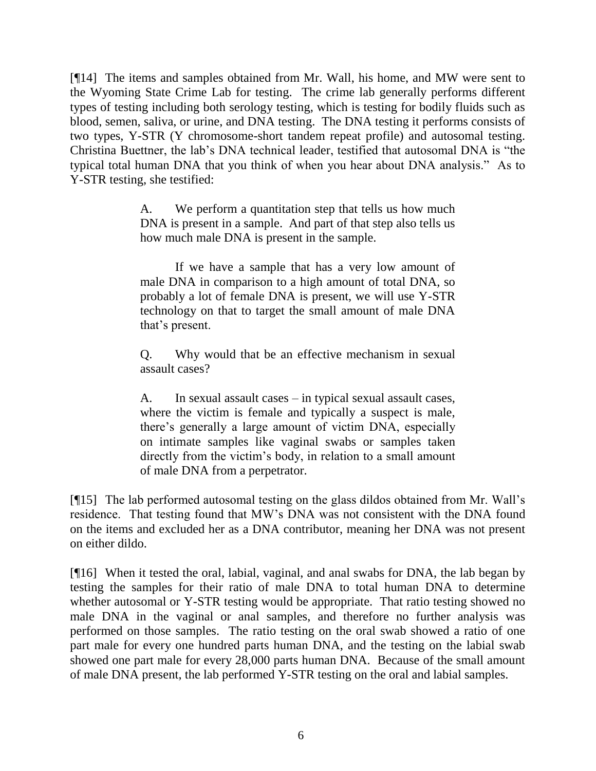[¶14] The items and samples obtained from Mr. Wall, his home, and MW were sent to the Wyoming State Crime Lab for testing. The crime lab generally performs different types of testing including both serology testing, which is testing for bodily fluids such as blood, semen, saliva, or urine, and DNA testing. The DNA testing it performs consists of two types, Y-STR (Y chromosome-short tandem repeat profile) and autosomal testing. Christina Buettner, the lab's DNA technical leader, testified that autosomal DNA is "the typical total human DNA that you think of when you hear about DNA analysis." As to Y-STR testing, she testified:

> A. We perform a quantitation step that tells us how much DNA is present in a sample. And part of that step also tells us how much male DNA is present in the sample.

> If we have a sample that has a very low amount of male DNA in comparison to a high amount of total DNA, so probably a lot of female DNA is present, we will use Y-STR technology on that to target the small amount of male DNA that's present.

> Q. Why would that be an effective mechanism in sexual assault cases?

> A. In sexual assault cases – in typical sexual assault cases, where the victim is female and typically a suspect is male, there's generally a large amount of victim DNA, especially on intimate samples like vaginal swabs or samples taken directly from the victim's body, in relation to a small amount of male DNA from a perpetrator.

[¶15] The lab performed autosomal testing on the glass dildos obtained from Mr. Wall's residence. That testing found that MW's DNA was not consistent with the DNA found on the items and excluded her as a DNA contributor, meaning her DNA was not present on either dildo.

[¶16] When it tested the oral, labial, vaginal, and anal swabs for DNA, the lab began by testing the samples for their ratio of male DNA to total human DNA to determine whether autosomal or Y-STR testing would be appropriate. That ratio testing showed no male DNA in the vaginal or anal samples, and therefore no further analysis was performed on those samples. The ratio testing on the oral swab showed a ratio of one part male for every one hundred parts human DNA, and the testing on the labial swab showed one part male for every 28,000 parts human DNA. Because of the small amount of male DNA present, the lab performed Y-STR testing on the oral and labial samples.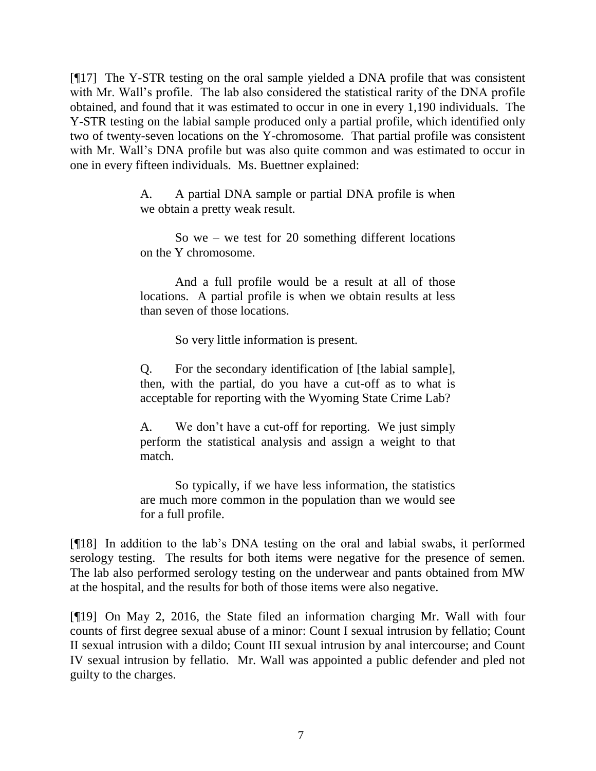[¶17] The Y-STR testing on the oral sample yielded a DNA profile that was consistent with Mr. Wall's profile. The lab also considered the statistical rarity of the DNA profile obtained, and found that it was estimated to occur in one in every 1,190 individuals. The Y-STR testing on the labial sample produced only a partial profile, which identified only two of twenty-seven locations on the Y-chromosome. That partial profile was consistent with Mr. Wall's DNA profile but was also quite common and was estimated to occur in one in every fifteen individuals. Ms. Buettner explained:

> A. A partial DNA sample or partial DNA profile is when we obtain a pretty weak result.

> So we – we test for 20 something different locations on the Y chromosome.

> And a full profile would be a result at all of those locations. A partial profile is when we obtain results at less than seven of those locations.

> > So very little information is present.

Q. For the secondary identification of [the labial sample], then, with the partial, do you have a cut-off as to what is acceptable for reporting with the Wyoming State Crime Lab?

A. We don't have a cut-off for reporting. We just simply perform the statistical analysis and assign a weight to that match.

So typically, if we have less information, the statistics are much more common in the population than we would see for a full profile.

[¶18] In addition to the lab's DNA testing on the oral and labial swabs, it performed serology testing. The results for both items were negative for the presence of semen. The lab also performed serology testing on the underwear and pants obtained from MW at the hospital, and the results for both of those items were also negative.

[¶19] On May 2, 2016, the State filed an information charging Mr. Wall with four counts of first degree sexual abuse of a minor: Count I sexual intrusion by fellatio; Count II sexual intrusion with a dildo; Count III sexual intrusion by anal intercourse; and Count IV sexual intrusion by fellatio. Mr. Wall was appointed a public defender and pled not guilty to the charges.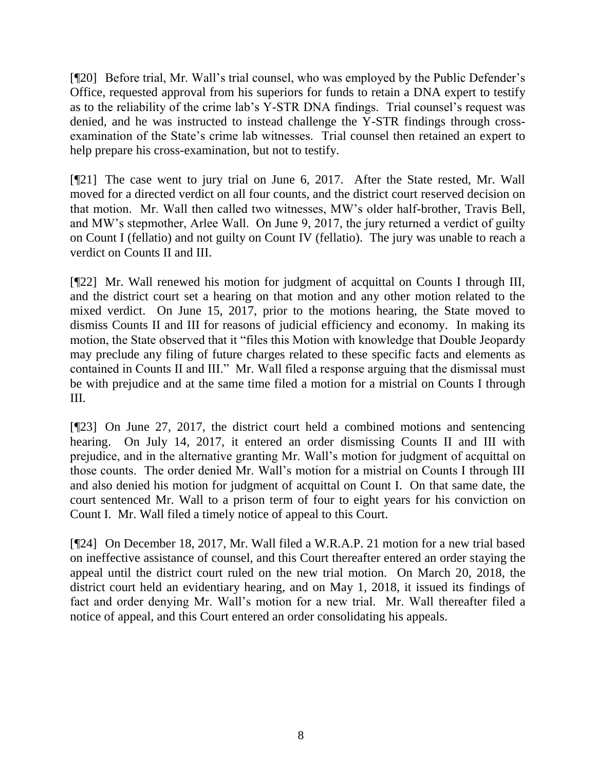[¶20] Before trial, Mr. Wall's trial counsel, who was employed by the Public Defender's Office, requested approval from his superiors for funds to retain a DNA expert to testify as to the reliability of the crime lab's Y-STR DNA findings. Trial counsel's request was denied, and he was instructed to instead challenge the Y-STR findings through crossexamination of the State's crime lab witnesses. Trial counsel then retained an expert to help prepare his cross-examination, but not to testify.

[¶21] The case went to jury trial on June 6, 2017. After the State rested, Mr. Wall moved for a directed verdict on all four counts, and the district court reserved decision on that motion. Mr. Wall then called two witnesses, MW's older half-brother, Travis Bell, and MW's stepmother, Arlee Wall. On June 9, 2017, the jury returned a verdict of guilty on Count I (fellatio) and not guilty on Count IV (fellatio). The jury was unable to reach a verdict on Counts II and III.

[¶22] Mr. Wall renewed his motion for judgment of acquittal on Counts I through III, and the district court set a hearing on that motion and any other motion related to the mixed verdict. On June 15, 2017, prior to the motions hearing, the State moved to dismiss Counts II and III for reasons of judicial efficiency and economy. In making its motion, the State observed that it "files this Motion with knowledge that Double Jeopardy may preclude any filing of future charges related to these specific facts and elements as contained in Counts II and III." Mr. Wall filed a response arguing that the dismissal must be with prejudice and at the same time filed a motion for a mistrial on Counts I through III.

[¶23] On June 27, 2017, the district court held a combined motions and sentencing hearing. On July 14, 2017, it entered an order dismissing Counts II and III with prejudice, and in the alternative granting Mr. Wall's motion for judgment of acquittal on those counts. The order denied Mr. Wall's motion for a mistrial on Counts I through III and also denied his motion for judgment of acquittal on Count I. On that same date, the court sentenced Mr. Wall to a prison term of four to eight years for his conviction on Count I. Mr. Wall filed a timely notice of appeal to this Court.

[¶24] On December 18, 2017, Mr. Wall filed a W.R.A.P. 21 motion for a new trial based on ineffective assistance of counsel, and this Court thereafter entered an order staying the appeal until the district court ruled on the new trial motion. On March 20, 2018, the district court held an evidentiary hearing, and on May 1, 2018, it issued its findings of fact and order denying Mr. Wall's motion for a new trial. Mr. Wall thereafter filed a notice of appeal, and this Court entered an order consolidating his appeals.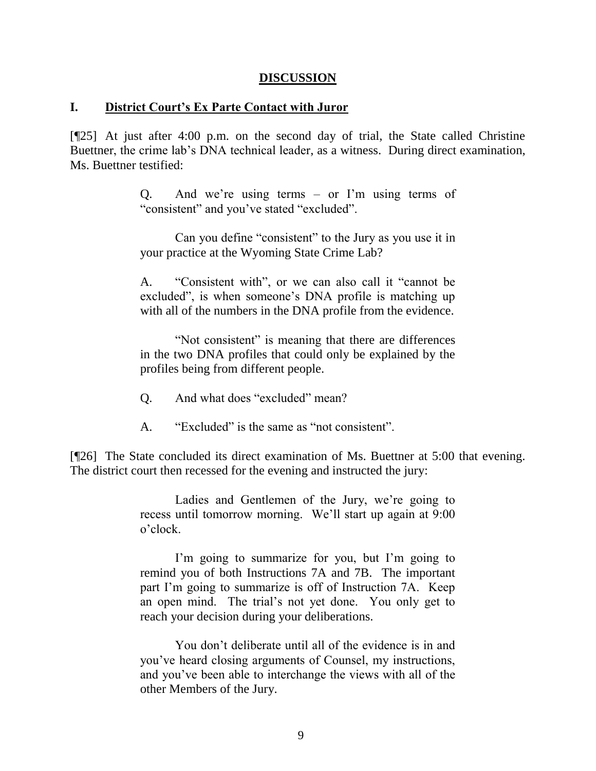#### **DISCUSSION**

#### **I. District Court's Ex Parte Contact with Juror**

[¶25] At just after 4:00 p.m. on the second day of trial, the State called Christine Buettner, the crime lab's DNA technical leader, as a witness. During direct examination, Ms. Buettner testified:

> Q. And we're using terms – or I'm using terms of "consistent" and you've stated "excluded".

> Can you define "consistent" to the Jury as you use it in your practice at the Wyoming State Crime Lab?

> A. "Consistent with", or we can also call it "cannot be excluded", is when someone's DNA profile is matching up with all of the numbers in the DNA profile from the evidence.

> "Not consistent" is meaning that there are differences in the two DNA profiles that could only be explained by the profiles being from different people.

- Q. And what does "excluded" mean?
- A. "Excluded" is the same as "not consistent".

[¶26] The State concluded its direct examination of Ms. Buettner at 5:00 that evening. The district court then recessed for the evening and instructed the jury:

> Ladies and Gentlemen of the Jury, we're going to recess until tomorrow morning. We'll start up again at 9:00 o'clock.

> I'm going to summarize for you, but I'm going to remind you of both Instructions 7A and 7B. The important part I'm going to summarize is off of Instruction 7A. Keep an open mind. The trial's not yet done. You only get to reach your decision during your deliberations.

> You don't deliberate until all of the evidence is in and you've heard closing arguments of Counsel, my instructions, and you've been able to interchange the views with all of the other Members of the Jury.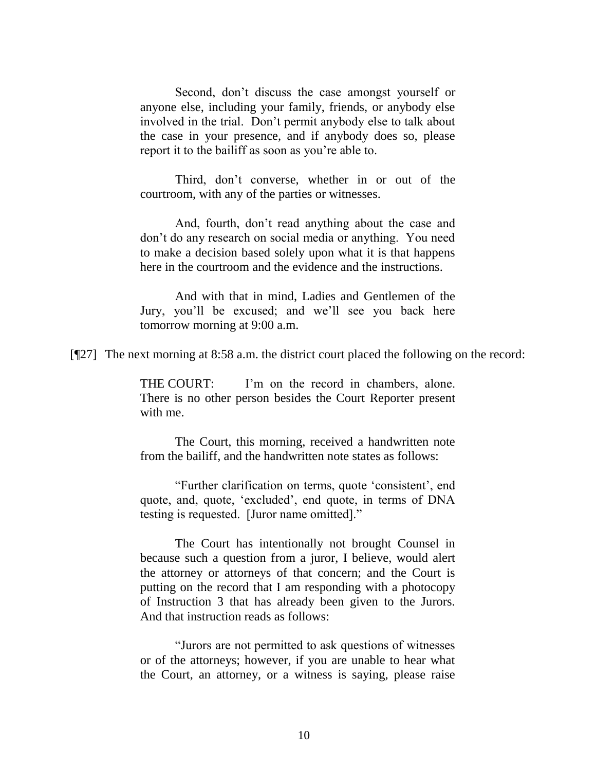Second, don't discuss the case amongst yourself or anyone else, including your family, friends, or anybody else involved in the trial. Don't permit anybody else to talk about the case in your presence, and if anybody does so, please report it to the bailiff as soon as you're able to.

Third, don't converse, whether in or out of the courtroom, with any of the parties or witnesses.

And, fourth, don't read anything about the case and don't do any research on social media or anything. You need to make a decision based solely upon what it is that happens here in the courtroom and the evidence and the instructions.

And with that in mind, Ladies and Gentlemen of the Jury, you'll be excused; and we'll see you back here tomorrow morning at 9:00 a.m.

[¶27] The next morning at 8:58 a.m. the district court placed the following on the record:

THE COURT: I'm on the record in chambers, alone. There is no other person besides the Court Reporter present with me.

The Court, this morning, received a handwritten note from the bailiff, and the handwritten note states as follows:

"Further clarification on terms, quote 'consistent', end quote, and, quote, 'excluded', end quote, in terms of DNA testing is requested. [Juror name omitted]."

The Court has intentionally not brought Counsel in because such a question from a juror, I believe, would alert the attorney or attorneys of that concern; and the Court is putting on the record that I am responding with a photocopy of Instruction 3 that has already been given to the Jurors. And that instruction reads as follows:

"Jurors are not permitted to ask questions of witnesses or of the attorneys; however, if you are unable to hear what the Court, an attorney, or a witness is saying, please raise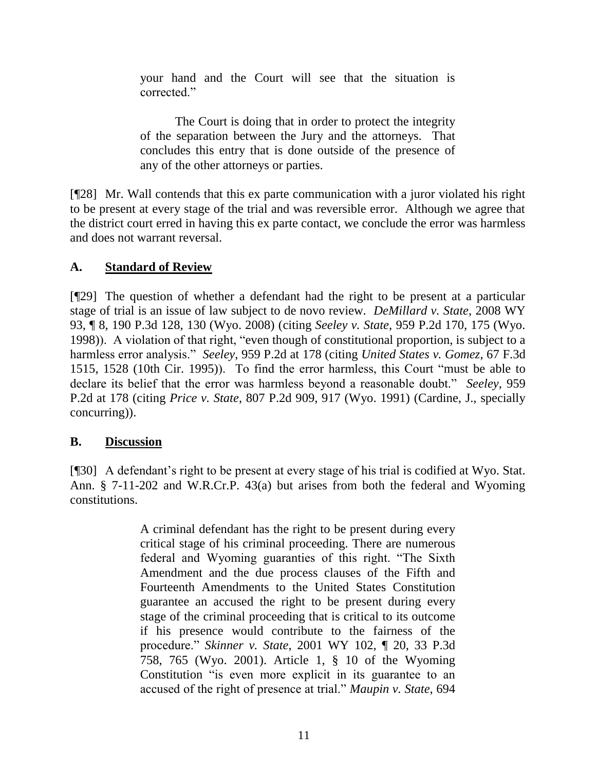your hand and the Court will see that the situation is corrected."

The Court is doing that in order to protect the integrity of the separation between the Jury and the attorneys. That concludes this entry that is done outside of the presence of any of the other attorneys or parties.

[¶28] Mr. Wall contends that this ex parte communication with a juror violated his right to be present at every stage of the trial and was reversible error. Although we agree that the district court erred in having this ex parte contact, we conclude the error was harmless and does not warrant reversal.

## **A. Standard of Review**

[¶29] The question of whether a defendant had the right to be present at a particular stage of trial is an issue of law subject to de novo review. *DeMillard v. State*, 2008 WY 93, ¶ 8, 190 P.3d 128, 130 (Wyo. 2008) (citing *Seeley v. State*[, 959 P.2d 170, 175 \(Wyo.](http://www.westlaw.com/Link/Document/FullText?findType=Y&serNum=1998112449&pubNum=0000661&originatingDoc=I3c9e22f369d511ddbc7bf97f340af743&refType=RP&fi=co_pp_sp_661_175&originationContext=document&vr=3.0&rs=cblt1.0&transitionType=DocumentItem&contextData=(sc.Keycite)#co_pp_sp_661_175)  [1998\)\)](http://www.westlaw.com/Link/Document/FullText?findType=Y&serNum=1998112449&pubNum=0000661&originatingDoc=I3c9e22f369d511ddbc7bf97f340af743&refType=RP&fi=co_pp_sp_661_175&originationContext=document&vr=3.0&rs=cblt1.0&transitionType=DocumentItem&contextData=(sc.Keycite)#co_pp_sp_661_175). A violation of that right, "even though of constitutional proportion, is subject to a harmless error analysis." *Seeley*, 959 P.2d at 178 (citing *[United States v. Gomez](http://www.westlaw.com/Link/Document/FullText?findType=Y&serNum=1995202365&pubNum=0000506&originatingDoc=I2ae18685f56711d9b386b232635db992&refType=RP&fi=co_pp_sp_506_1528&originationContext=document&vr=3.0&rs=cblt1.0&transitionType=DocumentItem&contextData=(sc.UserEnteredCitation)#co_pp_sp_506_1528)*, 67 F.3d [1515, 1528 \(10th Cir. 1995\)\)](http://www.westlaw.com/Link/Document/FullText?findType=Y&serNum=1995202365&pubNum=0000506&originatingDoc=I2ae18685f56711d9b386b232635db992&refType=RP&fi=co_pp_sp_506_1528&originationContext=document&vr=3.0&rs=cblt1.0&transitionType=DocumentItem&contextData=(sc.UserEnteredCitation)#co_pp_sp_506_1528). To find the error harmless, this Court "must be able to declare its belief that the error was harmless beyond a reasonable doubt." *Seeley*, 959 P.2d at 178 (citing *Price v. State*[, 807 P.2d 909, 917 \(Wyo. 1991\)](http://www.westlaw.com/Link/Document/FullText?findType=Y&serNum=1991052512&pubNum=0000661&originatingDoc=I2ae18685f56711d9b386b232635db992&refType=RP&fi=co_pp_sp_661_917&originationContext=document&vr=3.0&rs=cblt1.0&transitionType=DocumentItem&contextData=(sc.UserEnteredCitation)#co_pp_sp_661_917) (Cardine, J., specially concurring)).

## **B. Discussion**

[¶30] A defendant's right to be present at every stage of his trial is codified at [Wyo. Stat.](http://www.westlaw.com/Link/Document/FullText?findType=L&pubNum=1000377&cite=WYSTS7-11-202&originatingDoc=I3c9e22f369d511ddbc7bf97f340af743&refType=LQ&originationContext=document&vr=3.0&rs=cblt1.0&transitionType=DocumentItem&contextData=(sc.Keycite))  [Ann. § 7-11-202](http://www.westlaw.com/Link/Document/FullText?findType=L&pubNum=1000377&cite=WYSTS7-11-202&originatingDoc=I3c9e22f369d511ddbc7bf97f340af743&refType=LQ&originationContext=document&vr=3.0&rs=cblt1.0&transitionType=DocumentItem&contextData=(sc.Keycite)) and [W.R.Cr.P. 43\(a\)](http://www.westlaw.com/Link/Document/FullText?findType=L&pubNum=1008764&cite=WYRRCRPR43&originatingDoc=I3c9e22f369d511ddbc7bf97f340af743&refType=LQ&originationContext=document&vr=3.0&rs=cblt1.0&transitionType=DocumentItem&contextData=(sc.Keycite)) but arises from both the federal and Wyoming constitutions.

> A criminal defendant has the right to be present during every critical stage of his criminal proceeding. There are numerous federal and Wyoming guaranties of this right. "The Sixth Amendment and the due process clauses of the Fifth and Fourteenth Amendments to the United States Constitution guarantee an accused the right to be present during every stage of the criminal proceeding that is critical to its outcome if his presence would contribute to the fairness of the procedure." *Skinner v. State*[, 2001 WY 102, ¶ 20, 33 P.3d](http://www.westlaw.com/Link/Document/FullText?findType=Y&serNum=2001916498&pubNum=0004645&originatingDoc=I3c9e22f369d511ddbc7bf97f340af743&refType=RP&fi=co_pp_sp_4645_765&originationContext=document&vr=3.0&rs=cblt1.0&transitionType=DocumentItem&contextData=(sc.Keycite)#co_pp_sp_4645_765)  [758, 765 \(Wyo.](http://www.westlaw.com/Link/Document/FullText?findType=Y&serNum=2001916498&pubNum=0004645&originatingDoc=I3c9e22f369d511ddbc7bf97f340af743&refType=RP&fi=co_pp_sp_4645_765&originationContext=document&vr=3.0&rs=cblt1.0&transitionType=DocumentItem&contextData=(sc.Keycite)#co_pp_sp_4645_765) 2001). [Article 1, § 10 of the Wyoming](http://www.westlaw.com/Link/Document/FullText?findType=L&pubNum=1000375&cite=WYCNART1S10&originatingDoc=I3c9e22f369d511ddbc7bf97f340af743&refType=LQ&originationContext=document&vr=3.0&rs=cblt1.0&transitionType=DocumentItem&contextData=(sc.Keycite))  [Constitution](http://www.westlaw.com/Link/Document/FullText?findType=L&pubNum=1000375&cite=WYCNART1S10&originatingDoc=I3c9e22f369d511ddbc7bf97f340af743&refType=LQ&originationContext=document&vr=3.0&rs=cblt1.0&transitionType=DocumentItem&contextData=(sc.Keycite)) "is even more explicit in its guarantee to an accused of the right of presence at trial." *[Maupin v. State](http://www.westlaw.com/Link/Document/FullText?findType=Y&serNum=1985105480&pubNum=0000661&originatingDoc=I3c9e22f369d511ddbc7bf97f340af743&refType=RP&fi=co_pp_sp_661_722&originationContext=document&vr=3.0&rs=cblt1.0&transitionType=DocumentItem&contextData=(sc.Keycite)#co_pp_sp_661_722)*, 694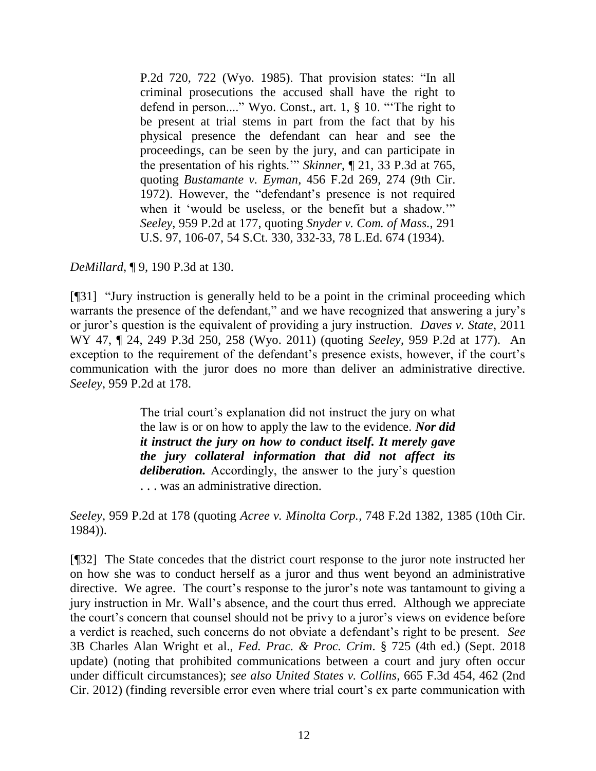[P.2d 720, 722 \(Wyo.](http://www.westlaw.com/Link/Document/FullText?findType=Y&serNum=1985105480&pubNum=0000661&originatingDoc=I3c9e22f369d511ddbc7bf97f340af743&refType=RP&fi=co_pp_sp_661_722&originationContext=document&vr=3.0&rs=cblt1.0&transitionType=DocumentItem&contextData=(sc.Keycite)#co_pp_sp_661_722) 1985). That provision states: "In all criminal prosecutions the accused shall have the right to defend in person...." [Wyo. Const., art. 1, § 10.](http://www.westlaw.com/Link/Document/FullText?findType=L&pubNum=1000375&cite=WYCNART1S10&originatingDoc=I3c9e22f369d511ddbc7bf97f340af743&refType=LQ&originationContext=document&vr=3.0&rs=cblt1.0&transitionType=DocumentItem&contextData=(sc.Keycite)) "'The right to be present at trial stems in part from the fact that by his physical presence the defendant can hear and see the proceedings, can be seen by the jury, and can participate in the presentation of his rights.'" *Skinner*[, ¶ 21, 33 P.3d at 765,](http://www.westlaw.com/Link/Document/FullText?findType=Y&serNum=2001916498&pubNum=4645&originatingDoc=I3c9e22f369d511ddbc7bf97f340af743&refType=RP&fi=co_pp_sp_4645_765&originationContext=document&vr=3.0&rs=cblt1.0&transitionType=DocumentItem&contextData=(sc.Keycite)#co_pp_sp_4645_765) quoting *Bustamante v. Eyman*[, 456 F.2d 269, 274 \(9th](http://www.westlaw.com/Link/Document/FullText?findType=Y&serNum=1972108654&pubNum=0000350&originatingDoc=I3c9e22f369d511ddbc7bf97f340af743&refType=RP&fi=co_pp_sp_350_274&originationContext=document&vr=3.0&rs=cblt1.0&transitionType=DocumentItem&contextData=(sc.Keycite)#co_pp_sp_350_274) Cir. [1972\).](http://www.westlaw.com/Link/Document/FullText?findType=Y&serNum=1972108654&pubNum=0000350&originatingDoc=I3c9e22f369d511ddbc7bf97f340af743&refType=RP&fi=co_pp_sp_350_274&originationContext=document&vr=3.0&rs=cblt1.0&transitionType=DocumentItem&contextData=(sc.Keycite)#co_pp_sp_350_274) However, the "defendant's presence is not required when it 'would be useless, or the benefit but a shadow.'" *Seeley*[, 959 P.2d at 177,](http://www.westlaw.com/Link/Document/FullText?findType=Y&serNum=1998112449&pubNum=661&originatingDoc=I3c9e22f369d511ddbc7bf97f340af743&refType=RP&fi=co_pp_sp_661_177&originationContext=document&vr=3.0&rs=cblt1.0&transitionType=DocumentItem&contextData=(sc.Keycite)#co_pp_sp_661_177) quoting *[Snyder v. Com. of Mass.](http://www.westlaw.com/Link/Document/FullText?findType=Y&serNum=1934124471&pubNum=0000708&originatingDoc=I3c9e22f369d511ddbc7bf97f340af743&refType=RP&fi=co_pp_sp_708_332&originationContext=document&vr=3.0&rs=cblt1.0&transitionType=DocumentItem&contextData=(sc.Keycite)#co_pp_sp_708_332)*, 291 [U.S. 97, 106-07, 54 S.Ct. 330, 332-33, 78 L.Ed. 674 \(1934\).](http://www.westlaw.com/Link/Document/FullText?findType=Y&serNum=1934124471&pubNum=0000708&originatingDoc=I3c9e22f369d511ddbc7bf97f340af743&refType=RP&fi=co_pp_sp_708_332&originationContext=document&vr=3.0&rs=cblt1.0&transitionType=DocumentItem&contextData=(sc.Keycite)#co_pp_sp_708_332)

*DeMillard*, ¶ 9, 190 P.3d at 130.

[¶31] "Jury instruction is generally held to be a point in the criminal proceeding which warrants the presence of the defendant," and we have recognized that answering a jury's or juror's question is the equivalent of providing a jury instruction. *Daves v. State*, 2011 WY 47, ¶ 24, 249 P.3d 250, 258 (Wyo. 2011) (quoting *Seeley*[, 959 P.2d at 177\).](http://www.westlaw.com/Link/Document/FullText?findType=Y&serNum=1998112449&pubNum=661&originatingDoc=I1186a6434e4211e0b931b80af77abaf1&refType=RP&fi=co_pp_sp_661_177&originationContext=document&vr=3.0&rs=cblt1.0&transitionType=DocumentItem&contextData=(sc.Keycite)#co_pp_sp_661_177) An exception to the requirement of the defendant's presence exists, however, if the court's communication with the juror does no more than deliver an administrative directive. *Seeley*, 959 P.2d at 178.

> The trial court's explanation did not instruct the jury on what the law is or on how to apply the law to the evidence. *Nor did it instruct the jury on how to conduct itself. It merely gave the jury collateral information that did not affect its deliberation.* Accordingly, the answer to the jury's question . . . was an administrative direction.

*Seeley*, 959 P.2d at 178 (quoting *Acree v. Minolta Corp.*[, 748 F.2d 1382, 1385 \(10th Cir.](http://www.westlaw.com/Link/Document/FullText?findType=Y&serNum=1984154678&pubNum=0000350&originatingDoc=I2ae18685f56711d9b386b232635db992&refType=RP&fi=co_pp_sp_350_1385&originationContext=document&vr=3.0&rs=cblt1.0&transitionType=DocumentItem&contextData=(sc.UserEnteredCitation)#co_pp_sp_350_1385)  [1984\)\)](http://www.westlaw.com/Link/Document/FullText?findType=Y&serNum=1984154678&pubNum=0000350&originatingDoc=I2ae18685f56711d9b386b232635db992&refType=RP&fi=co_pp_sp_350_1385&originationContext=document&vr=3.0&rs=cblt1.0&transitionType=DocumentItem&contextData=(sc.UserEnteredCitation)#co_pp_sp_350_1385).

[¶32] The State concedes that the district court response to the juror note instructed her on how she was to conduct herself as a juror and thus went beyond an administrative directive. We agree. The court's response to the juror's note was tantamount to giving a jury instruction in Mr. Wall's absence, and the court thus erred. Although we appreciate the court's concern that counsel should not be privy to a juror's views on evidence before a verdict is reached, such concerns do not obviate a defendant's right to be present. *See* 3B Charles Alan Wright et al., *Fed. Prac. & Proc. Crim*. § 725 (4th ed.) (Sept. 2018 update) (noting that prohibited communications between a court and jury often occur under difficult circumstances); *see also United States v. Collins*, 665 F.3d 454, 462 (2nd Cir. 2012) (finding reversible error even where trial court's ex parte communication with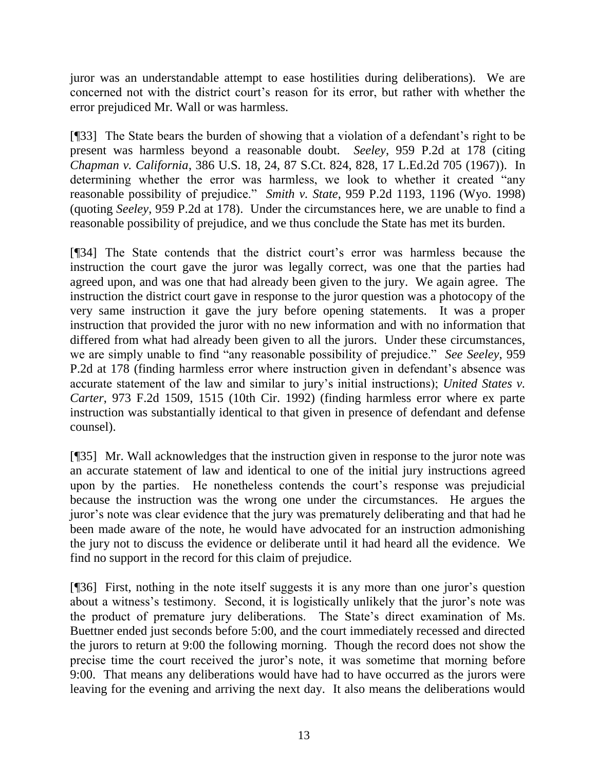juror was an understandable attempt to ease hostilities during deliberations). We are concerned not with the district court's reason for its error, but rather with whether the error prejudiced Mr. Wall or was harmless.

[¶33] The State bears the burden of showing that a violation of a defendant's right to be present was harmless beyond a reasonable doubt. *Seeley*, [959 P.2d at 178](http://www.westlaw.com/Link/Document/FullText?findType=Y&serNum=1998112449&pubNum=0000661&originatingDoc=I6e71dca1f56811d98ac8f235252e36df&refType=RP&fi=co_pp_sp_661_178&originationContext=document&vr=3.0&rs=cblt1.0&transitionType=DocumentItem&contextData=(sc.Keycite)#co_pp_sp_661_178) (citing *Chapman v. California*[, 386 U.S. 18, 24, 87 S.Ct. 824, 828, 17 L.Ed.2d 705 \(1967\)\)](http://www.westlaw.com/Link/Document/FullText?findType=Y&serNum=1967129471&pubNum=0000708&originatingDoc=I2ae18685f56711d9b386b232635db992&refType=RP&fi=co_pp_sp_708_828&originationContext=document&vr=3.0&rs=cblt1.0&transitionType=DocumentItem&contextData=(sc.UserEnteredCitation)#co_pp_sp_708_828). In determining whether the error was harmless, we look to whether it created "any reasonable possibility of prejudice." *Smith v. State*, 959 P.2d 1193, 1196 (Wyo. 1998) (quoting *Seeley*, [959 P.2d at 178\)](http://www.westlaw.com/Link/Document/FullText?findType=Y&serNum=1998112449&pubNum=0000661&originatingDoc=I6e71dca1f56811d98ac8f235252e36df&refType=RP&fi=co_pp_sp_661_178&originationContext=document&vr=3.0&rs=cblt1.0&transitionType=DocumentItem&contextData=(sc.Keycite)#co_pp_sp_661_178). Under the circumstances here, we are unable to find a reasonable possibility of prejudice, and we thus conclude the State has met its burden.

[¶34] The State contends that the district court's error was harmless because the instruction the court gave the juror was legally correct, was one that the parties had agreed upon, and was one that had already been given to the jury. We again agree. The instruction the district court gave in response to the juror question was a photocopy of the very same instruction it gave the jury before opening statements. It was a proper instruction that provided the juror with no new information and with no information that differed from what had already been given to all the jurors. Under these circumstances, we are simply unable to find "any reasonable possibility of prejudice." *See Seeley*, 959 P.2d at 178 (finding harmless error where instruction given in defendant's absence was accurate statement of the law and similar to jury's initial instructions); *United States v. Carter*, 973 F.2d 1509, 1515 (10th Cir. 1992) (finding harmless error where ex parte instruction was substantially identical to that given in presence of defendant and defense counsel).

[¶35] Mr. Wall acknowledges that the instruction given in response to the juror note was an accurate statement of law and identical to one of the initial jury instructions agreed upon by the parties. He nonetheless contends the court's response was prejudicial because the instruction was the wrong one under the circumstances. He argues the juror's note was clear evidence that the jury was prematurely deliberating and that had he been made aware of the note, he would have advocated for an instruction admonishing the jury not to discuss the evidence or deliberate until it had heard all the evidence. We find no support in the record for this claim of prejudice.

[¶36] First, nothing in the note itself suggests it is any more than one juror's question about a witness's testimony. Second, it is logistically unlikely that the juror's note was the product of premature jury deliberations. The State's direct examination of Ms. Buettner ended just seconds before 5:00, and the court immediately recessed and directed the jurors to return at 9:00 the following morning. Though the record does not show the precise time the court received the juror's note, it was sometime that morning before 9:00. That means any deliberations would have had to have occurred as the jurors were leaving for the evening and arriving the next day. It also means the deliberations would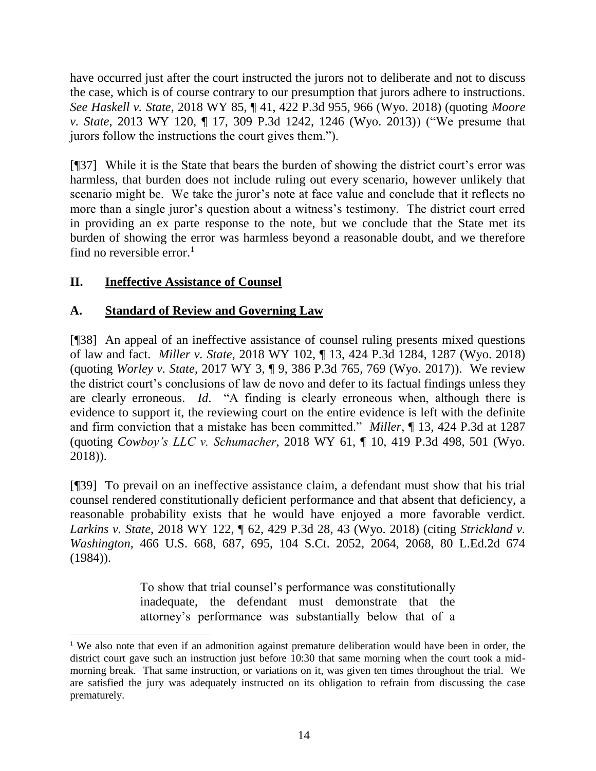have occurred just after the court instructed the jurors not to deliberate and not to discuss the case, which is of course contrary to our presumption that jurors adhere to instructions. *See Haskell v. State*, 2018 WY 85, ¶ 41, 422 P.3d 955, 966 (Wyo. 2018) (quoting *[Moore](http://www.westlaw.com/Link/Document/FullText?findType=Y&serNum=2031702369&pubNum=0004645&originatingDoc=I09b5e82095d111e8a064bbcf25cb9a66&refType=RP&fi=co_pp_sp_4645_1246&originationContext=document&vr=3.0&rs=cblt1.0&transitionType=DocumentItem&contextData=(sc.Search)#co_pp_sp_4645_1246)  v. State*[, 2013 WY 120, ¶ 17, 309 P.3d 1242, 1246 \(Wyo. 2013\)\)](http://www.westlaw.com/Link/Document/FullText?findType=Y&serNum=2031702369&pubNum=0004645&originatingDoc=I09b5e82095d111e8a064bbcf25cb9a66&refType=RP&fi=co_pp_sp_4645_1246&originationContext=document&vr=3.0&rs=cblt1.0&transitionType=DocumentItem&contextData=(sc.Search)#co_pp_sp_4645_1246) ("We presume that jurors follow the instructions the court gives them.").

[¶37] While it is the State that bears the burden of showing the district court's error was harmless, that burden does not include ruling out every scenario, however unlikely that scenario might be. We take the juror's note at face value and conclude that it reflects no more than a single juror's question about a witness's testimony. The district court erred in providing an ex parte response to the note, but we conclude that the State met its burden of showing the error was harmless beyond a reasonable doubt, and we therefore find no reversible error.<sup>1</sup>

# **II. Ineffective Assistance of Counsel**

## **A. Standard of Review and Governing Law**

[¶38] An appeal of an ineffective assistance of counsel ruling presents mixed questions of law and fact. *Miller v. State*, 2018 WY 102, ¶ 13, 424 P.3d 1284, 1287 (Wyo. 2018) (quoting *Worley v. State*[, 2017 WY 3, ¶ 9, 386 P.3d 765, 769 \(Wyo. 2017\)\)](http://www.westlaw.com/Link/Document/FullText?findType=Y&serNum=2040732901&pubNum=0004645&originatingDoc=I44d2c320acc811e88c45d187944abdda&refType=RP&fi=co_pp_sp_4645_769&originationContext=document&vr=3.0&rs=cblt1.0&transitionType=DocumentItem&contextData=(sc.UserEnteredCitation)#co_pp_sp_4645_769). We review the district court's conclusions of law de novo and defer to its factual findings unless they are clearly erroneous. *Id*. "A finding is clearly erroneous when, although there is evidence to support it, the reviewing court on the entire evidence is left with the definite and firm conviction that a mistake has been committed." *Miller*, ¶ 13, 424 P.3d at 1287 (quoting *Cowboy's LLC v. Schumacher*[, 2018 WY 61, ¶ 10, 419 P.3d 498, 501 \(Wyo.](http://www.westlaw.com/Link/Document/FullText?findType=Y&serNum=2044695237&pubNum=0004645&originatingDoc=I44d2c320acc811e88c45d187944abdda&refType=RP&fi=co_pp_sp_4645_501&originationContext=document&vr=3.0&rs=cblt1.0&transitionType=DocumentItem&contextData=(sc.UserEnteredCitation)#co_pp_sp_4645_501)  [2018\)\)](http://www.westlaw.com/Link/Document/FullText?findType=Y&serNum=2044695237&pubNum=0004645&originatingDoc=I44d2c320acc811e88c45d187944abdda&refType=RP&fi=co_pp_sp_4645_501&originationContext=document&vr=3.0&rs=cblt1.0&transitionType=DocumentItem&contextData=(sc.UserEnteredCitation)#co_pp_sp_4645_501).

[¶39] To prevail on an ineffective assistance claim, a defendant must show that his trial counsel rendered constitutionally deficient performance and that absent that deficiency, a reasonable probability exists that he would have enjoyed a more favorable verdict. *Larkins v. State*, 2018 WY 122, ¶ 62, 429 P.3d 28, 43 (Wyo. 2018) (citing *[Strickland v.](http://www.westlaw.com/Link/Document/FullText?findType=Y&serNum=1984123336&pubNum=0000708&originatingDoc=I54319b80d96d11e8a573b12ad1dad226&refType=RP&fi=co_pp_sp_708_2064&originationContext=document&vr=3.0&rs=cblt1.0&transitionType=DocumentItem&contextData=(sc.UserEnteredCitation)#co_pp_sp_708_2064)  Washington*[, 466 U.S. 668, 687, 695, 104 S.Ct. 2052, 2064, 2068, 80 L.Ed.2d 674](http://www.westlaw.com/Link/Document/FullText?findType=Y&serNum=1984123336&pubNum=0000708&originatingDoc=I54319b80d96d11e8a573b12ad1dad226&refType=RP&fi=co_pp_sp_708_2064&originationContext=document&vr=3.0&rs=cblt1.0&transitionType=DocumentItem&contextData=(sc.UserEnteredCitation)#co_pp_sp_708_2064)  [\(1984\)\)](http://www.westlaw.com/Link/Document/FullText?findType=Y&serNum=1984123336&pubNum=0000708&originatingDoc=I54319b80d96d11e8a573b12ad1dad226&refType=RP&fi=co_pp_sp_708_2064&originationContext=document&vr=3.0&rs=cblt1.0&transitionType=DocumentItem&contextData=(sc.UserEnteredCitation)#co_pp_sp_708_2064).

> To show that trial counsel's performance was constitutionally inadequate, the defendant must demonstrate that the attorney's performance was substantially below that of a

<sup>&</sup>lt;sup> $1$ </sup> We also note that even if an admonition against premature deliberation would have been in order, the district court gave such an instruction just before 10:30 that same morning when the court took a midmorning break. That same instruction, or variations on it, was given ten times throughout the trial. We are satisfied the jury was adequately instructed on its obligation to refrain from discussing the case prematurely.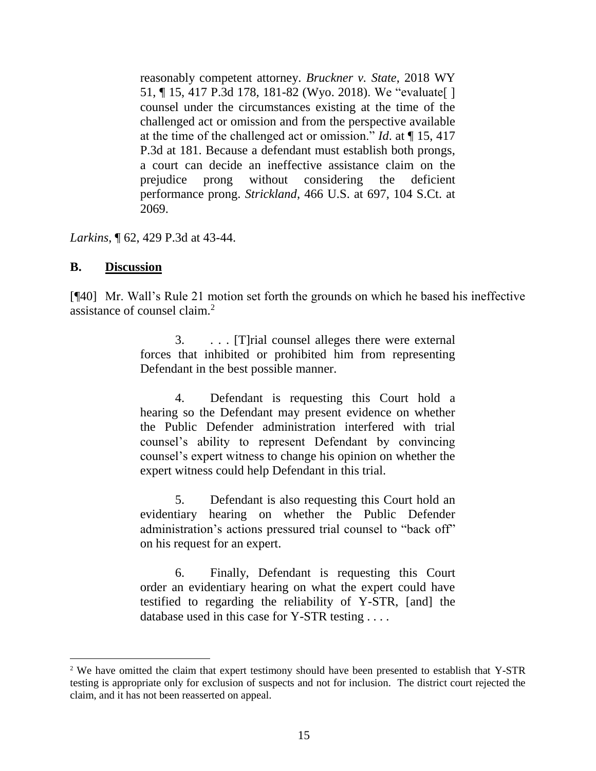reasonably competent attorney. *[Bruckner v. State](http://www.westlaw.com/Link/Document/FullText?findType=Y&serNum=2044562371&pubNum=0004645&originatingDoc=I54319b80d96d11e8a573b12ad1dad226&refType=RP&fi=co_pp_sp_4645_181&originationContext=document&vr=3.0&rs=cblt1.0&transitionType=DocumentItem&contextData=(sc.UserEnteredCitation)#co_pp_sp_4645_181)*, 2018 WY [51, ¶ 15, 417 P.3d 178, 181-82 \(Wyo. 2018\).](http://www.westlaw.com/Link/Document/FullText?findType=Y&serNum=2044562371&pubNum=0004645&originatingDoc=I54319b80d96d11e8a573b12ad1dad226&refType=RP&fi=co_pp_sp_4645_181&originationContext=document&vr=3.0&rs=cblt1.0&transitionType=DocumentItem&contextData=(sc.UserEnteredCitation)#co_pp_sp_4645_181) We "evaluate[ ] counsel under the circumstances existing at the time of the challenged act or omission and from the perspective available at the time of the challenged act or omission." *Id*[. at ¶ 15, 417](http://www.westlaw.com/Link/Document/FullText?findType=Y&serNum=2044562371&pubNum=0004645&originatingDoc=I54319b80d96d11e8a573b12ad1dad226&refType=RP&fi=co_pp_sp_4645_181&originationContext=document&vr=3.0&rs=cblt1.0&transitionType=DocumentItem&contextData=(sc.UserEnteredCitation)#co_pp_sp_4645_181)  [P.3d at 181.](http://www.westlaw.com/Link/Document/FullText?findType=Y&serNum=2044562371&pubNum=0004645&originatingDoc=I54319b80d96d11e8a573b12ad1dad226&refType=RP&fi=co_pp_sp_4645_181&originationContext=document&vr=3.0&rs=cblt1.0&transitionType=DocumentItem&contextData=(sc.UserEnteredCitation)#co_pp_sp_4645_181) Because a defendant must establish both prongs, a court can decide an ineffective assistance claim on the prejudice prong without considering the deficient performance prong. *Strickland*[, 466 U.S. at 697, 104 S.Ct. at](http://www.westlaw.com/Link/Document/FullText?findType=Y&serNum=1984123336&pubNum=0000708&originatingDoc=I54319b80d96d11e8a573b12ad1dad226&refType=RP&fi=co_pp_sp_708_2069&originationContext=document&vr=3.0&rs=cblt1.0&transitionType=DocumentItem&contextData=(sc.UserEnteredCitation)#co_pp_sp_708_2069)  [2069.](http://www.westlaw.com/Link/Document/FullText?findType=Y&serNum=1984123336&pubNum=0000708&originatingDoc=I54319b80d96d11e8a573b12ad1dad226&refType=RP&fi=co_pp_sp_708_2069&originationContext=document&vr=3.0&rs=cblt1.0&transitionType=DocumentItem&contextData=(sc.UserEnteredCitation)#co_pp_sp_708_2069)

*Larkins*, ¶ 62, 429 P.3d at 43-44.

#### **B. Discussion**

[¶40] Mr. Wall's Rule 21 motion set forth the grounds on which he based his ineffective assistance of counsel claim.<sup>2</sup>

> 3. . . . [T]rial counsel alleges there were external forces that inhibited or prohibited him from representing Defendant in the best possible manner.

> 4. Defendant is requesting this Court hold a hearing so the Defendant may present evidence on whether the Public Defender administration interfered with trial counsel's ability to represent Defendant by convincing counsel's expert witness to change his opinion on whether the expert witness could help Defendant in this trial.

> 5. Defendant is also requesting this Court hold an evidentiary hearing on whether the Public Defender administration's actions pressured trial counsel to "back off" on his request for an expert.

> 6. Finally, Defendant is requesting this Court order an evidentiary hearing on what the expert could have testified to regarding the reliability of Y-STR, [and] the database used in this case for Y-STR testing . . . .

<sup>&</sup>lt;sup>2</sup> We have omitted the claim that expert testimony should have been presented to establish that Y-STR testing is appropriate only for exclusion of suspects and not for inclusion. The district court rejected the claim, and it has not been reasserted on appeal.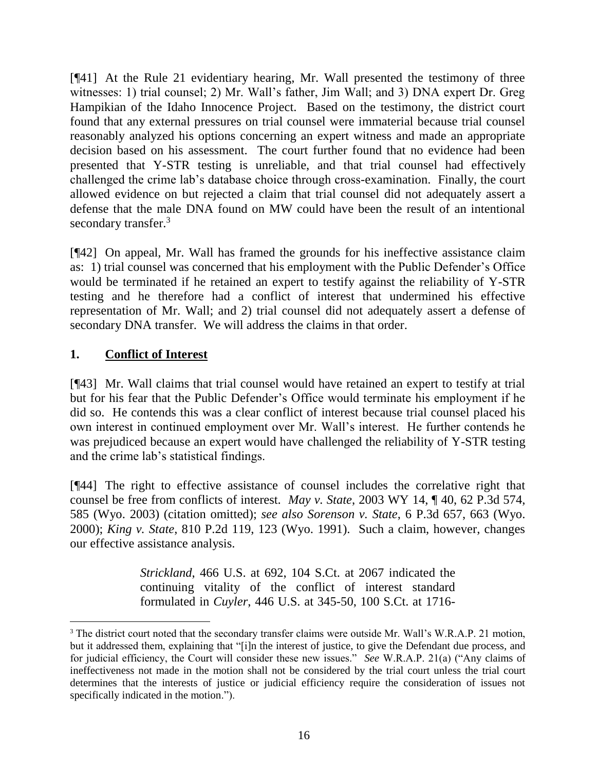[¶41] At the Rule 21 evidentiary hearing, Mr. Wall presented the testimony of three witnesses: 1) trial counsel; 2) Mr. Wall's father, Jim Wall; and 3) DNA expert Dr. Greg Hampikian of the Idaho Innocence Project. Based on the testimony, the district court found that any external pressures on trial counsel were immaterial because trial counsel reasonably analyzed his options concerning an expert witness and made an appropriate decision based on his assessment. The court further found that no evidence had been presented that Y-STR testing is unreliable, and that trial counsel had effectively challenged the crime lab's database choice through cross-examination. Finally, the court allowed evidence on but rejected a claim that trial counsel did not adequately assert a defense that the male DNA found on MW could have been the result of an intentional secondary transfer.<sup>3</sup>

[¶42] On appeal, Mr. Wall has framed the grounds for his ineffective assistance claim as: 1) trial counsel was concerned that his employment with the Public Defender's Office would be terminated if he retained an expert to testify against the reliability of Y-STR testing and he therefore had a conflict of interest that undermined his effective representation of Mr. Wall; and 2) trial counsel did not adequately assert a defense of secondary DNA transfer. We will address the claims in that order.

## **1. Conflict of Interest**

 $\overline{a}$ 

[¶43] Mr. Wall claims that trial counsel would have retained an expert to testify at trial but for his fear that the Public Defender's Office would terminate his employment if he did so. He contends this was a clear conflict of interest because trial counsel placed his own interest in continued employment over Mr. Wall's interest. He further contends he was prejudiced because an expert would have challenged the reliability of Y-STR testing and the crime lab's statistical findings.

[¶44] The right to effective assistance of counsel includes the correlative right that counsel be free from conflicts of interest. *May v. State*, 2003 WY 14, ¶ 40, 62 P.3d 574, 585 (Wyo. 2003) (citation omitted); *see also Sorenson v. State*, 6 P.3d 657, 663 (Wyo. 2000); *King v. State*, 810 P.2d 119, 123 (Wyo. 1991). Such a claim, however, changes our effective assistance analysis.

> *Strickland*[, 466 U.S. at 692, 104 S.Ct. at 2067](http://www.westlaw.com/Link/Document/FullText?findType=Y&serNum=1984123336&pubNum=708&originatingDoc=Idcfaa047f55811d9bf60c1d57ebc853e&refType=RP&fi=co_pp_sp_708_2067&originationContext=document&vr=3.0&rs=cblt1.0&transitionType=DocumentItem&contextData=(sc.Keycite)#co_pp_sp_708_2067) indicated the continuing vitality of the conflict of interest standard formulated in *Cuyler*[, 446 U.S. at 345-50, 100 S.Ct. at 1716-](http://www.westlaw.com/Link/Document/FullText?findType=Y&serNum=1980116741&pubNum=708&originatingDoc=Idcfaa047f55811d9bf60c1d57ebc853e&refType=RP&fi=co_pp_sp_708_1716&originationContext=document&vr=3.0&rs=cblt1.0&transitionType=DocumentItem&contextData=(sc.Keycite)#co_pp_sp_708_1716)

<sup>&</sup>lt;sup>3</sup> The district court noted that the secondary transfer claims were outside Mr. Wall's W.R.A.P. 21 motion, but it addressed them, explaining that "[i]n the interest of justice, to give the Defendant due process, and for judicial efficiency, the Court will consider these new issues." *See* W.R.A.P. 21(a) ("Any claims of ineffectiveness not made in the motion shall not be considered by the trial court unless the trial court determines that the interests of justice or judicial efficiency require the consideration of issues not specifically indicated in the motion.").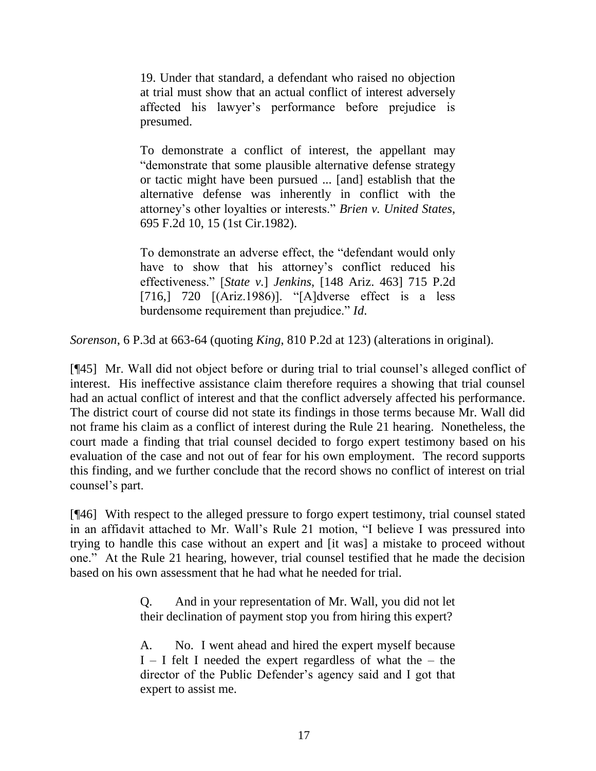[19.](http://www.westlaw.com/Link/Document/FullText?findType=Y&serNum=1980116741&pubNum=708&originatingDoc=Idcfaa047f55811d9bf60c1d57ebc853e&refType=RP&fi=co_pp_sp_708_1716&originationContext=document&vr=3.0&rs=cblt1.0&transitionType=DocumentItem&contextData=(sc.Keycite)#co_pp_sp_708_1716) Under that standard, a defendant who raised no objection at trial must show that an actual conflict of interest adversely affected his lawyer's performance before prejudice is presumed.

To demonstrate a conflict of interest, the appellant may "demonstrate that some plausible alternative defense strategy or tactic might have been pursued ... [and] establish that the alternative defense was inherently in conflict with the attorney's other loyalties or interests." *[Brien v. United States](http://www.westlaw.com/Link/Document/FullText?findType=Y&serNum=1982153002&pubNum=350&originatingDoc=Idcfaa047f55811d9bf60c1d57ebc853e&refType=RP&fi=co_pp_sp_350_15&originationContext=document&vr=3.0&rs=cblt1.0&transitionType=DocumentItem&contextData=(sc.Keycite)#co_pp_sp_350_15)*, [695 F.2d 10, 15 \(1st Cir.1982\).](http://www.westlaw.com/Link/Document/FullText?findType=Y&serNum=1982153002&pubNum=350&originatingDoc=Idcfaa047f55811d9bf60c1d57ebc853e&refType=RP&fi=co_pp_sp_350_15&originationContext=document&vr=3.0&rs=cblt1.0&transitionType=DocumentItem&contextData=(sc.Keycite)#co_pp_sp_350_15)

To demonstrate an adverse effect, the "defendant would only have to show that his attorney's conflict reduced his effectiveness." [*State v.*] *Jenkins*[, \[148 Ariz. 463\] 715 P.2d](http://www.westlaw.com/Link/Document/FullText?findType=Y&serNum=1986105030&pubNum=661&originatingDoc=Idcfaa047f55811d9bf60c1d57ebc853e&refType=RP&fi=co_pp_sp_661_720&originationContext=document&vr=3.0&rs=cblt1.0&transitionType=DocumentItem&contextData=(sc.Keycite)#co_pp_sp_661_720)  [\[716,\] 720](http://www.westlaw.com/Link/Document/FullText?findType=Y&serNum=1986105030&pubNum=661&originatingDoc=Idcfaa047f55811d9bf60c1d57ebc853e&refType=RP&fi=co_pp_sp_661_720&originationContext=document&vr=3.0&rs=cblt1.0&transitionType=DocumentItem&contextData=(sc.Keycite)#co_pp_sp_661_720) [(Ariz.1986)]. "[A]dverse effect is a less burdensome requirement than prejudice." *Id*.

*Sorenson*, 6 P.3d at 663-64 (quoting *King*[, 810 P.2d at 123\)](http://www.westlaw.com/Link/Document/FullText?findType=Y&serNum=1991083595&pubNum=661&originatingDoc=Idcfaa047f55811d9bf60c1d57ebc853e&refType=RP&fi=co_pp_sp_661_123&originationContext=document&vr=3.0&rs=cblt1.0&transitionType=DocumentItem&contextData=(sc.Keycite)#co_pp_sp_661_123) (alterations in original).

[¶45] Mr. Wall did not object before or during trial to trial counsel's alleged conflict of interest. His ineffective assistance claim therefore requires a showing that trial counsel had an actual conflict of interest and that the conflict adversely affected his performance. The district court of course did not state its findings in those terms because Mr. Wall did not frame his claim as a conflict of interest during the Rule 21 hearing. Nonetheless, the court made a finding that trial counsel decided to forgo expert testimony based on his evaluation of the case and not out of fear for his own employment. The record supports this finding, and we further conclude that the record shows no conflict of interest on trial counsel's part.

[¶46] With respect to the alleged pressure to forgo expert testimony, trial counsel stated in an affidavit attached to Mr. Wall's Rule 21 motion, "I believe I was pressured into trying to handle this case without an expert and [it was] a mistake to proceed without one." At the Rule 21 hearing, however, trial counsel testified that he made the decision based on his own assessment that he had what he needed for trial.

> Q. And in your representation of Mr. Wall, you did not let their declination of payment stop you from hiring this expert?

> A. No. I went ahead and hired the expert myself because  $I - I$  felt I needed the expert regardless of what the – the director of the Public Defender's agency said and I got that expert to assist me.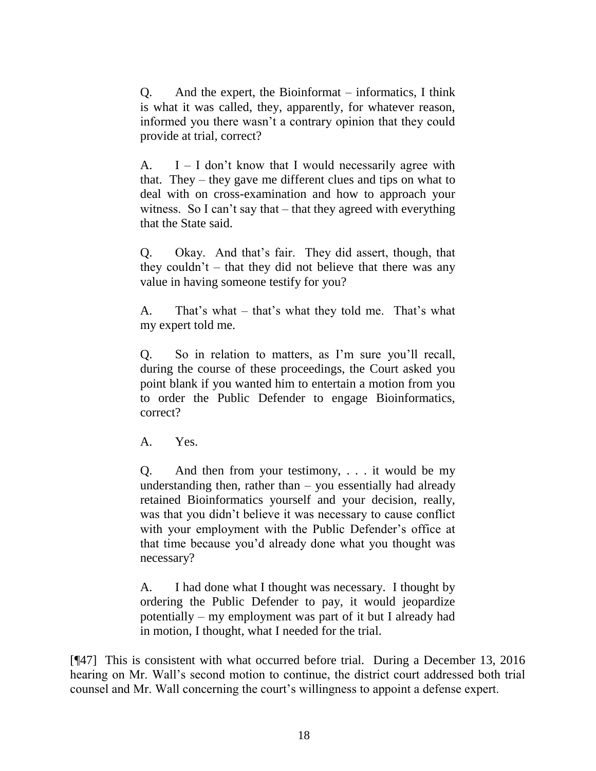Q. And the expert, the Bioinformat – informatics, I think is what it was called, they, apparently, for whatever reason, informed you there wasn't a contrary opinion that they could provide at trial, correct?

A.  $I - I$  don't know that I would necessarily agree with that. They – they gave me different clues and tips on what to deal with on cross-examination and how to approach your witness. So I can't say that – that they agreed with everything that the State said.

Q. Okay. And that's fair. They did assert, though, that they couldn't – that they did not believe that there was any value in having someone testify for you?

A. That's what – that's what they told me. That's what my expert told me.

Q. So in relation to matters, as I'm sure you'll recall, during the course of these proceedings, the Court asked you point blank if you wanted him to entertain a motion from you to order the Public Defender to engage Bioinformatics, correct?

A. Yes.

Q. And then from your testimony, . . . it would be my understanding then, rather than  $-$  you essentially had already retained Bioinformatics yourself and your decision, really, was that you didn't believe it was necessary to cause conflict with your employment with the Public Defender's office at that time because you'd already done what you thought was necessary?

A. I had done what I thought was necessary. I thought by ordering the Public Defender to pay, it would jeopardize potentially – my employment was part of it but I already had in motion, I thought, what I needed for the trial.

[¶47] This is consistent with what occurred before trial. During a December 13, 2016 hearing on Mr. Wall's second motion to continue, the district court addressed both trial counsel and Mr. Wall concerning the court's willingness to appoint a defense expert.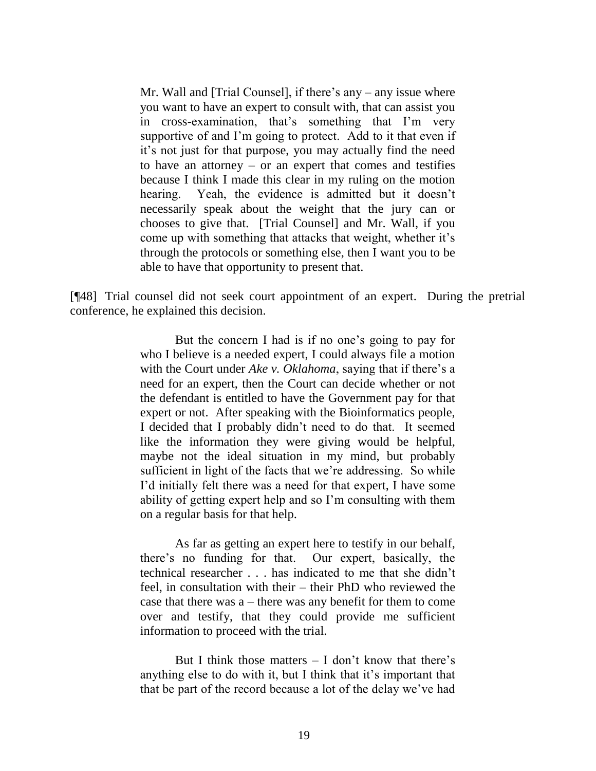Mr. Wall and [Trial Counsel], if there's any – any issue where you want to have an expert to consult with, that can assist you in cross-examination, that's something that I'm very supportive of and I'm going to protect. Add to it that even if it's not just for that purpose, you may actually find the need to have an attorney – or an expert that comes and testifies because I think I made this clear in my ruling on the motion hearing. Yeah, the evidence is admitted but it doesn't necessarily speak about the weight that the jury can or chooses to give that. [Trial Counsel] and Mr. Wall, if you come up with something that attacks that weight, whether it's through the protocols or something else, then I want you to be able to have that opportunity to present that.

[¶48] Trial counsel did not seek court appointment of an expert. During the pretrial conference, he explained this decision.

> But the concern I had is if no one's going to pay for who I believe is a needed expert, I could always file a motion with the Court under *Ake v. Oklahoma*, saying that if there's a need for an expert, then the Court can decide whether or not the defendant is entitled to have the Government pay for that expert or not. After speaking with the Bioinformatics people, I decided that I probably didn't need to do that. It seemed like the information they were giving would be helpful, maybe not the ideal situation in my mind, but probably sufficient in light of the facts that we're addressing. So while I'd initially felt there was a need for that expert, I have some ability of getting expert help and so I'm consulting with them on a regular basis for that help.

> As far as getting an expert here to testify in our behalf, there's no funding for that. Our expert, basically, the technical researcher . . . has indicated to me that she didn't feel, in consultation with their – their PhD who reviewed the case that there was a – there was any benefit for them to come over and testify, that they could provide me sufficient information to proceed with the trial.

> But I think those matters  $-$  I don't know that there's anything else to do with it, but I think that it's important that that be part of the record because a lot of the delay we've had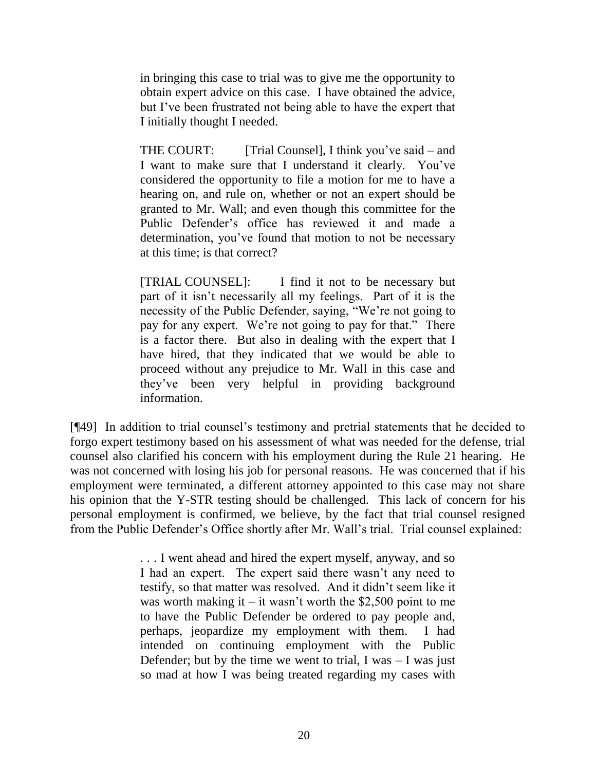in bringing this case to trial was to give me the opportunity to obtain expert advice on this case. I have obtained the advice, but I've been frustrated not being able to have the expert that I initially thought I needed.

THE COURT: [Trial Counsel], I think you've said – and I want to make sure that I understand it clearly. You've considered the opportunity to file a motion for me to have a hearing on, and rule on, whether or not an expert should be granted to Mr. Wall; and even though this committee for the Public Defender's office has reviewed it and made a determination, you've found that motion to not be necessary at this time; is that correct?

[TRIAL COUNSEL]: I find it not to be necessary but part of it isn't necessarily all my feelings. Part of it is the necessity of the Public Defender, saying, "We're not going to pay for any expert. We're not going to pay for that." There is a factor there. But also in dealing with the expert that I have hired, that they indicated that we would be able to proceed without any prejudice to Mr. Wall in this case and they've been very helpful in providing background information.

[¶49] In addition to trial counsel's testimony and pretrial statements that he decided to forgo expert testimony based on his assessment of what was needed for the defense, trial counsel also clarified his concern with his employment during the Rule 21 hearing. He was not concerned with losing his job for personal reasons. He was concerned that if his employment were terminated, a different attorney appointed to this case may not share his opinion that the Y-STR testing should be challenged. This lack of concern for his personal employment is confirmed, we believe, by the fact that trial counsel resigned from the Public Defender's Office shortly after Mr. Wall's trial. Trial counsel explained:

> . . . I went ahead and hired the expert myself, anyway, and so I had an expert. The expert said there wasn't any need to testify, so that matter was resolved. And it didn't seem like it was worth making it – it wasn't worth the \$2,500 point to me to have the Public Defender be ordered to pay people and, perhaps, jeopardize my employment with them. I had intended on continuing employment with the Public Defender; but by the time we went to trial, I was  $-1$  was just so mad at how I was being treated regarding my cases with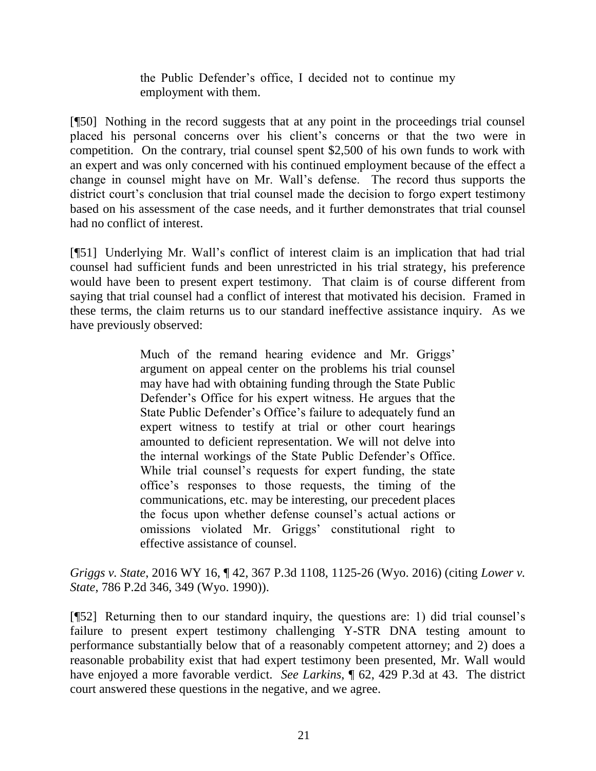the Public Defender's office, I decided not to continue my employment with them.

[¶50] Nothing in the record suggests that at any point in the proceedings trial counsel placed his personal concerns over his client's concerns or that the two were in competition. On the contrary, trial counsel spent \$2,500 of his own funds to work with an expert and was only concerned with his continued employment because of the effect a change in counsel might have on Mr. Wall's defense. The record thus supports the district court's conclusion that trial counsel made the decision to forgo expert testimony based on his assessment of the case needs, and it further demonstrates that trial counsel had no conflict of interest.

[¶51] Underlying Mr. Wall's conflict of interest claim is an implication that had trial counsel had sufficient funds and been unrestricted in his trial strategy, his preference would have been to present expert testimony. That claim is of course different from saying that trial counsel had a conflict of interest that motivated his decision. Framed in these terms, the claim returns us to our standard ineffective assistance inquiry. As we have previously observed:

> Much of the remand hearing evidence and Mr. Griggs' argument on appeal center on the problems his trial counsel may have had with obtaining funding through the State Public Defender's Office for his expert witness. He argues that the State Public Defender's Office's failure to adequately fund an expert witness to testify at trial or other court hearings amounted to deficient representation. We will not delve into the internal workings of the State Public Defender's Office. While trial counsel's requests for expert funding, the state office's responses to those requests, the timing of the communications, etc. may be interesting, our precedent places the focus upon whether defense counsel's actual actions or omissions violated Mr. Griggs' constitutional right to effective assistance of counsel.

*Griggs v. State*, 2016 WY 16, ¶ 42, 367 P.3d 1108, 1125-26 (Wyo. 2016) (citing *[Lower v.](http://www.westlaw.com/Link/Document/FullText?findType=Y&serNum=1990030428&pubNum=0000661&originatingDoc=Ifcad4a5dc9ca11e5b4bafa136b480ad2&refType=RP&fi=co_pp_sp_661_349&originationContext=document&vr=3.0&rs=cblt1.0&transitionType=DocumentItem&contextData=(sc.Search)#co_pp_sp_661_349)  State*[, 786 P.2d 346, 349 \(Wyo. 1990\)\)](http://www.westlaw.com/Link/Document/FullText?findType=Y&serNum=1990030428&pubNum=0000661&originatingDoc=Ifcad4a5dc9ca11e5b4bafa136b480ad2&refType=RP&fi=co_pp_sp_661_349&originationContext=document&vr=3.0&rs=cblt1.0&transitionType=DocumentItem&contextData=(sc.Search)#co_pp_sp_661_349).

[¶52] Returning then to our standard inquiry, the questions are: 1) did trial counsel's failure to present expert testimony challenging Y-STR DNA testing amount to performance substantially below that of a reasonably competent attorney; and 2) does a reasonable probability exist that had expert testimony been presented, Mr. Wall would have enjoyed a more favorable verdict. *See Larkins*, ¶ 62, 429 P.3d at 43. The district court answered these questions in the negative, and we agree.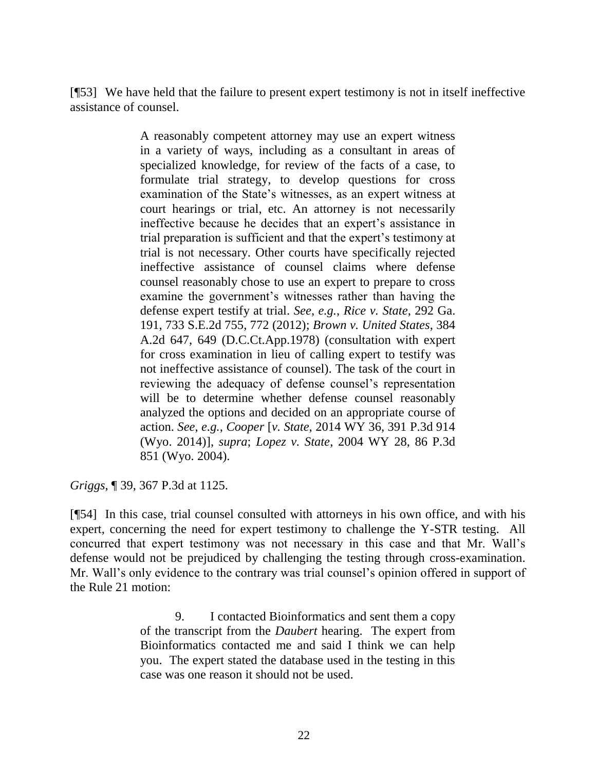[¶53] We have held that the failure to present expert testimony is not in itself ineffective assistance of counsel.

> A reasonably competent attorney may use an expert witness in a variety of ways, including as a consultant in areas of specialized knowledge, for review of the facts of a case, to formulate trial strategy, to develop questions for cross examination of the State's witnesses, as an expert witness at court hearings or trial, etc. An attorney is not necessarily ineffective because he decides that an expert's assistance in trial preparation is sufficient and that the expert's testimony at trial is not necessary. Other courts have specifically rejected ineffective assistance of counsel claims where defense counsel reasonably chose to use an expert to prepare to cross examine the government's witnesses rather than having the defense expert testify at trial. *See*, *e.g.*, *[Rice v. State](http://www.westlaw.com/Link/Document/FullText?findType=Y&serNum=2028997669&pubNum=0000711&originatingDoc=Ifcad4a5dc9ca11e5b4bafa136b480ad2&refType=RP&fi=co_pp_sp_711_772&originationContext=document&vr=3.0&rs=cblt1.0&transitionType=DocumentItem&contextData=(sc.Search)#co_pp_sp_711_772)*, 292 Ga. [191, 733 S.E.2d 755, 772 \(2012\);](http://www.westlaw.com/Link/Document/FullText?findType=Y&serNum=2028997669&pubNum=0000711&originatingDoc=Ifcad4a5dc9ca11e5b4bafa136b480ad2&refType=RP&fi=co_pp_sp_711_772&originationContext=document&vr=3.0&rs=cblt1.0&transitionType=DocumentItem&contextData=(sc.Search)#co_pp_sp_711_772) *[Brown v. United States](http://www.westlaw.com/Link/Document/FullText?findType=Y&serNum=1978100816&pubNum=0000162&originatingDoc=Ifcad4a5dc9ca11e5b4bafa136b480ad2&refType=RP&fi=co_pp_sp_162_649&originationContext=document&vr=3.0&rs=cblt1.0&transitionType=DocumentItem&contextData=(sc.Search)#co_pp_sp_162_649)*, 384 [A.2d 647, 649 \(D.C.Ct.App.1978\)](http://www.westlaw.com/Link/Document/FullText?findType=Y&serNum=1978100816&pubNum=0000162&originatingDoc=Ifcad4a5dc9ca11e5b4bafa136b480ad2&refType=RP&fi=co_pp_sp_162_649&originationContext=document&vr=3.0&rs=cblt1.0&transitionType=DocumentItem&contextData=(sc.Search)#co_pp_sp_162_649) (consultation with expert for cross examination in lieu of calling expert to testify was not ineffective assistance of counsel). The task of the court in reviewing the adequacy of defense counsel's representation will be to determine whether defense counsel reasonably analyzed the options and decided on an appropriate course of action. *See*, *e.g.*, *Cooper* [*v. State*, 2014 WY 36, 391 P.3d 914 (Wyo. 2014)], *supra*; *Lopez v. State*[, 2004 WY 28, 86 P.3d](http://www.westlaw.com/Link/Document/FullText?findType=Y&serNum=2004250760&pubNum=0004645&originatingDoc=Ifcad4a5dc9ca11e5b4bafa136b480ad2&refType=RP&originationContext=document&vr=3.0&rs=cblt1.0&transitionType=DocumentItem&contextData=(sc.Search))  [851 \(Wyo.](http://www.westlaw.com/Link/Document/FullText?findType=Y&serNum=2004250760&pubNum=0004645&originatingDoc=Ifcad4a5dc9ca11e5b4bafa136b480ad2&refType=RP&originationContext=document&vr=3.0&rs=cblt1.0&transitionType=DocumentItem&contextData=(sc.Search)) 2004).

*Griggs*, ¶ 39, 367 P.3d at 1125.

[¶54] In this case, trial counsel consulted with attorneys in his own office, and with his expert, concerning the need for expert testimony to challenge the Y-STR testing. All concurred that expert testimony was not necessary in this case and that Mr. Wall's defense would not be prejudiced by challenging the testing through cross-examination. Mr. Wall's only evidence to the contrary was trial counsel's opinion offered in support of the Rule 21 motion:

> 9. I contacted Bioinformatics and sent them a copy of the transcript from the *Daubert* hearing. The expert from Bioinformatics contacted me and said I think we can help you. The expert stated the database used in the testing in this case was one reason it should not be used.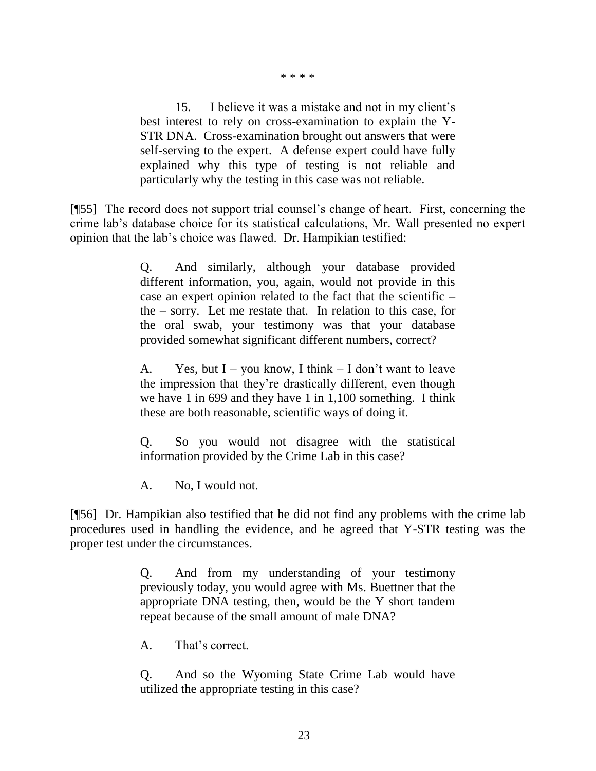\* \* \* \*

15. I believe it was a mistake and not in my client's best interest to rely on cross-examination to explain the Y-STR DNA. Cross-examination brought out answers that were self-serving to the expert. A defense expert could have fully explained why this type of testing is not reliable and particularly why the testing in this case was not reliable.

[¶55] The record does not support trial counsel's change of heart. First, concerning the crime lab's database choice for its statistical calculations, Mr. Wall presented no expert opinion that the lab's choice was flawed. Dr. Hampikian testified:

> Q. And similarly, although your database provided different information, you, again, would not provide in this case an expert opinion related to the fact that the scientific – the – sorry. Let me restate that. In relation to this case, for the oral swab, your testimony was that your database provided somewhat significant different numbers, correct?

> A. Yes, but  $I - you know, I think - I don't want to leave$ the impression that they're drastically different, even though we have 1 in 699 and they have 1 in 1,100 something. I think these are both reasonable, scientific ways of doing it.

> Q. So you would not disagree with the statistical information provided by the Crime Lab in this case?

A. No, I would not.

[¶56] Dr. Hampikian also testified that he did not find any problems with the crime lab procedures used in handling the evidence, and he agreed that Y-STR testing was the proper test under the circumstances.

> Q. And from my understanding of your testimony previously today, you would agree with Ms. Buettner that the appropriate DNA testing, then, would be the Y short tandem repeat because of the small amount of male DNA?

A. That's correct.

Q. And so the Wyoming State Crime Lab would have utilized the appropriate testing in this case?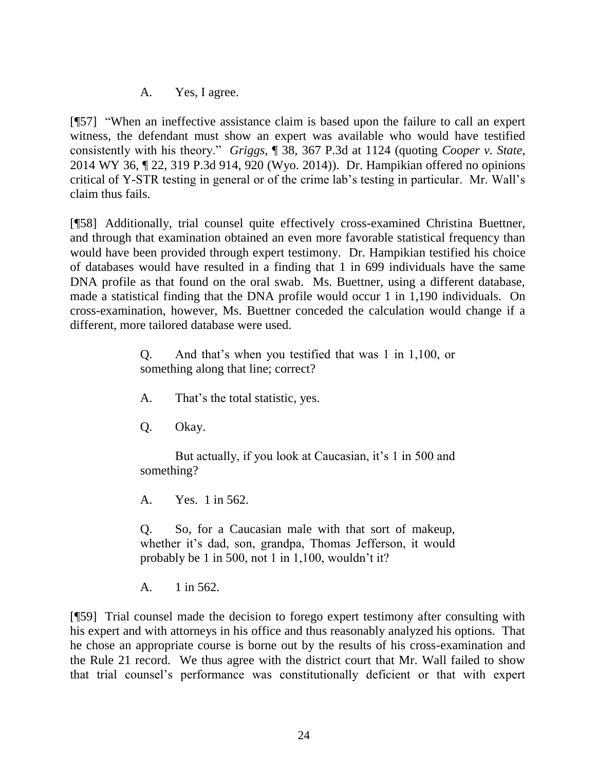A. Yes, I agree.

[¶57] "When an ineffective assistance claim is based upon the failure to call an expert witness, the defendant must show an expert was available who would have testified consistently with his theory." *Griggs*, ¶ 38, 367 P.3d at 1124 (quoting *[Cooper v. State](http://www.westlaw.com/Link/Document/FullText?findType=Y&serNum=2032882501&pubNum=0004645&originatingDoc=Ifcad4a5dc9ca11e5b4bafa136b480ad2&refType=RP&fi=co_pp_sp_4645_920&originationContext=document&vr=3.0&rs=cblt1.0&transitionType=DocumentItem&contextData=(sc.Search)#co_pp_sp_4645_920)*, [2014 WY 36, ¶ 22, 319 P.3d 914, 920 \(Wyo. 2014\)\)](http://www.westlaw.com/Link/Document/FullText?findType=Y&serNum=2032882501&pubNum=0004645&originatingDoc=Ifcad4a5dc9ca11e5b4bafa136b480ad2&refType=RP&fi=co_pp_sp_4645_920&originationContext=document&vr=3.0&rs=cblt1.0&transitionType=DocumentItem&contextData=(sc.Search)#co_pp_sp_4645_920). Dr. Hampikian offered no opinions critical of Y-STR testing in general or of the crime lab's testing in particular. Mr. Wall's claim thus fails.

[¶58] Additionally, trial counsel quite effectively cross-examined Christina Buettner, and through that examination obtained an even more favorable statistical frequency than would have been provided through expert testimony. Dr. Hampikian testified his choice of databases would have resulted in a finding that 1 in 699 individuals have the same DNA profile as that found on the oral swab. Ms. Buettner, using a different database, made a statistical finding that the DNA profile would occur 1 in 1,190 individuals. On cross-examination, however, Ms. Buettner conceded the calculation would change if a different, more tailored database were used.

> Q. And that's when you testified that was 1 in 1,100, or something along that line; correct?

- A. That's the total statistic, yes.
- Q. Okay.

But actually, if you look at Caucasian, it's 1 in 500 and something?

A. Yes. 1 in 562.

Q. So, for a Caucasian male with that sort of makeup, whether it's dad, son, grandpa, Thomas Jefferson, it would probably be 1 in 500, not 1 in 1,100, wouldn't it?

A. 1 in 562.

[¶59] Trial counsel made the decision to forego expert testimony after consulting with his expert and with attorneys in his office and thus reasonably analyzed his options. That he chose an appropriate course is borne out by the results of his cross-examination and the Rule 21 record. We thus agree with the district court that Mr. Wall failed to show that trial counsel's performance was constitutionally deficient or that with expert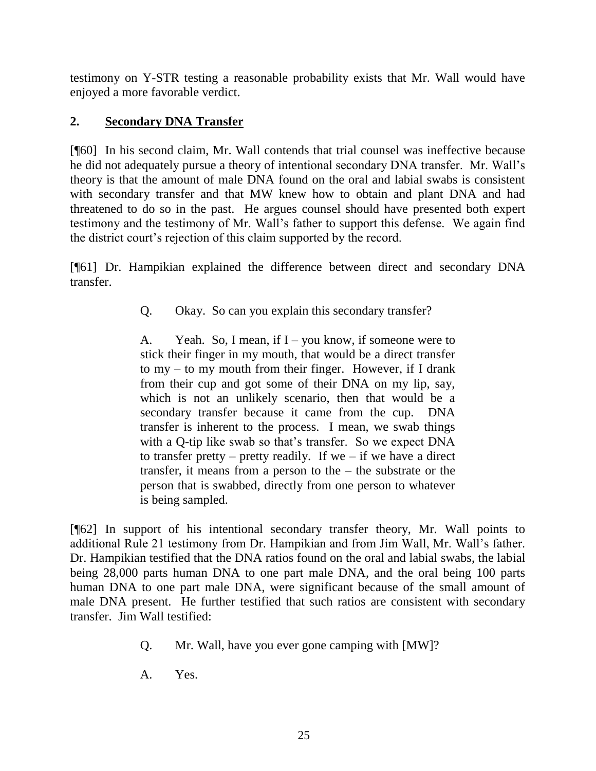testimony on Y-STR testing a reasonable probability exists that Mr. Wall would have enjoyed a more favorable verdict.

# **2. Secondary DNA Transfer**

[¶60] In his second claim, Mr. Wall contends that trial counsel was ineffective because he did not adequately pursue a theory of intentional secondary DNA transfer. Mr. Wall's theory is that the amount of male DNA found on the oral and labial swabs is consistent with secondary transfer and that MW knew how to obtain and plant DNA and had threatened to do so in the past. He argues counsel should have presented both expert testimony and the testimony of Mr. Wall's father to support this defense. We again find the district court's rejection of this claim supported by the record.

[¶61] Dr. Hampikian explained the difference between direct and secondary DNA transfer.

Q. Okay. So can you explain this secondary transfer?

A. Yeah. So, I mean, if  $I$  – you know, if some one were to stick their finger in my mouth, that would be a direct transfer to my – to my mouth from their finger. However, if I drank from their cup and got some of their DNA on my lip, say, which is not an unlikely scenario, then that would be a secondary transfer because it came from the cup. DNA transfer is inherent to the process. I mean, we swab things with a Q-tip like swab so that's transfer. So we expect DNA to transfer pretty – pretty readily. If we – if we have a direct transfer, it means from a person to the – the substrate or the person that is swabbed, directly from one person to whatever is being sampled.

[¶62] In support of his intentional secondary transfer theory, Mr. Wall points to additional Rule 21 testimony from Dr. Hampikian and from Jim Wall, Mr. Wall's father. Dr. Hampikian testified that the DNA ratios found on the oral and labial swabs, the labial being 28,000 parts human DNA to one part male DNA, and the oral being 100 parts human DNA to one part male DNA, were significant because of the small amount of male DNA present. He further testified that such ratios are consistent with secondary transfer. Jim Wall testified:

- Q. Mr. Wall, have you ever gone camping with [MW]?
- A. Yes.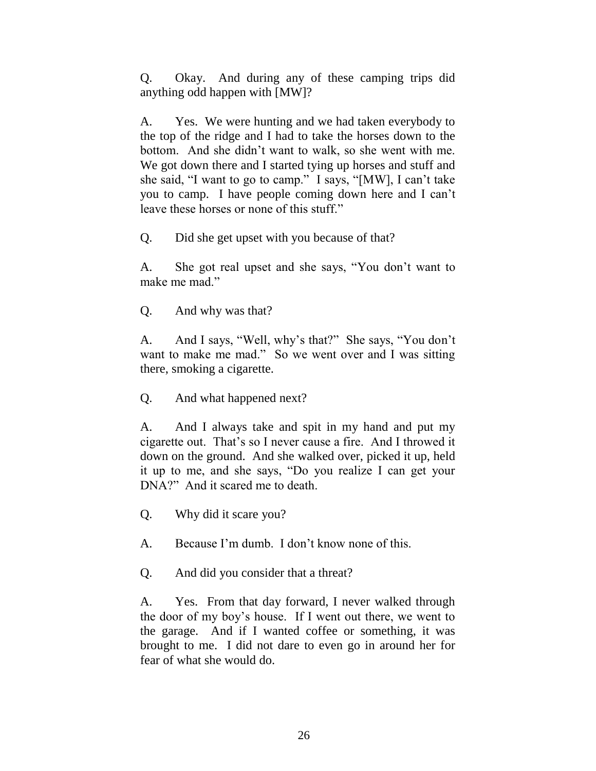Q. Okay. And during any of these camping trips did anything odd happen with [MW]?

A. Yes. We were hunting and we had taken everybody to the top of the ridge and I had to take the horses down to the bottom. And she didn't want to walk, so she went with me. We got down there and I started tying up horses and stuff and she said, "I want to go to camp." I says, "[MW], I can't take you to camp. I have people coming down here and I can't leave these horses or none of this stuff."

Q. Did she get upset with you because of that?

A. She got real upset and she says, "You don't want to make me mad."

Q. And why was that?

A. And I says, "Well, why's that?" She says, "You don't want to make me mad." So we went over and I was sitting there, smoking a cigarette.

Q. And what happened next?

A. And I always take and spit in my hand and put my cigarette out. That's so I never cause a fire. And I throwed it down on the ground. And she walked over, picked it up, held it up to me, and she says, "Do you realize I can get your DNA?" And it scared me to death.

Q. Why did it scare you?

A. Because I'm dumb. I don't know none of this.

Q. And did you consider that a threat?

A. Yes. From that day forward, I never walked through the door of my boy's house. If I went out there, we went to the garage. And if I wanted coffee or something, it was brought to me. I did not dare to even go in around her for fear of what she would do.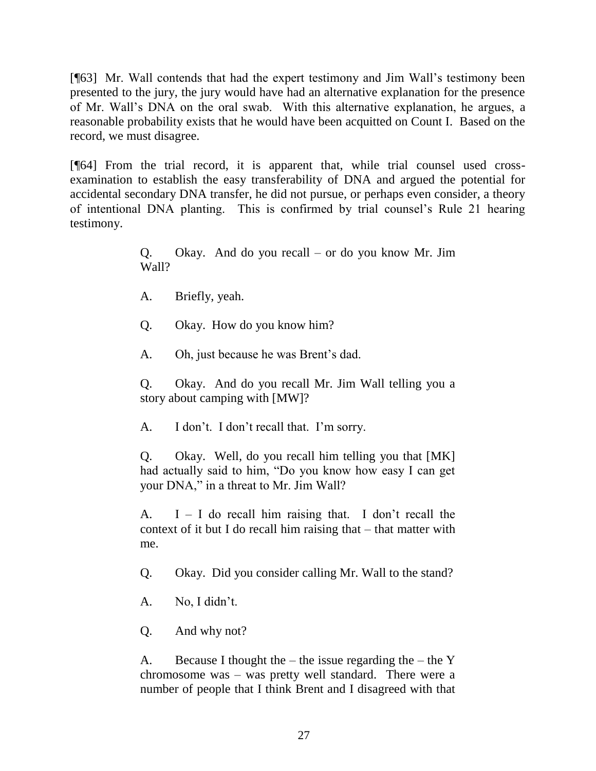[¶63] Mr. Wall contends that had the expert testimony and Jim Wall's testimony been presented to the jury, the jury would have had an alternative explanation for the presence of Mr. Wall's DNA on the oral swab. With this alternative explanation, he argues, a reasonable probability exists that he would have been acquitted on Count I. Based on the record, we must disagree.

[¶64] From the trial record, it is apparent that, while trial counsel used crossexamination to establish the easy transferability of DNA and argued the potential for accidental secondary DNA transfer, he did not pursue, or perhaps even consider, a theory of intentional DNA planting. This is confirmed by trial counsel's Rule 21 hearing testimony.

> Q. Okay. And do you recall – or do you know Mr. Jim Wall?

A. Briefly, yeah.

Q. Okay. How do you know him?

A. Oh, just because he was Brent's dad.

Q. Okay. And do you recall Mr. Jim Wall telling you a story about camping with [MW]?

A. I don't. I don't recall that. I'm sorry.

Q. Okay. Well, do you recall him telling you that [MK] had actually said to him, "Do you know how easy I can get your DNA," in a threat to Mr. Jim Wall?

A.  $I - I$  do recall him raising that. I don't recall the context of it but I do recall him raising that – that matter with me.

Q. Okay. Did you consider calling Mr. Wall to the stand?

A. No, I didn't.

Q. And why not?

A. Because I thought the – the issue regarding the – the Y chromosome was – was pretty well standard. There were a number of people that I think Brent and I disagreed with that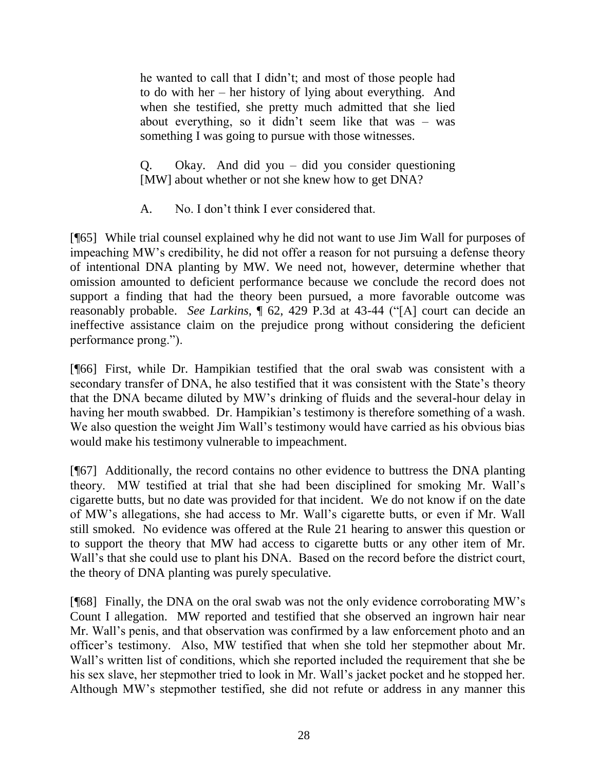he wanted to call that I didn't; and most of those people had to do with her – her history of lying about everything. And when she testified, she pretty much admitted that she lied about everything, so it didn't seem like that was – was something I was going to pursue with those witnesses.

Q. Okay. And did you – did you consider questioning [MW] about whether or not she knew how to get DNA?

A. No. I don't think I ever considered that.

[¶65] While trial counsel explained why he did not want to use Jim Wall for purposes of impeaching MW's credibility, he did not offer a reason for not pursuing a defense theory of intentional DNA planting by MW. We need not, however, determine whether that omission amounted to deficient performance because we conclude the record does not support a finding that had the theory been pursued, a more favorable outcome was reasonably probable. *See Larkins*, ¶ 62, 429 P.3d at 43-44 ("[A] court can decide an ineffective assistance claim on the prejudice prong without considering the deficient performance prong.").

[¶66] First, while Dr. Hampikian testified that the oral swab was consistent with a secondary transfer of DNA, he also testified that it was consistent with the State's theory that the DNA became diluted by MW's drinking of fluids and the several-hour delay in having her mouth swabbed. Dr. Hampikian's testimony is therefore something of a wash. We also question the weight Jim Wall's testimony would have carried as his obvious bias would make his testimony vulnerable to impeachment.

[¶67] Additionally, the record contains no other evidence to buttress the DNA planting theory. MW testified at trial that she had been disciplined for smoking Mr. Wall's cigarette butts, but no date was provided for that incident. We do not know if on the date of MW's allegations, she had access to Mr. Wall's cigarette butts, or even if Mr. Wall still smoked. No evidence was offered at the Rule 21 hearing to answer this question or to support the theory that MW had access to cigarette butts or any other item of Mr. Wall's that she could use to plant his DNA. Based on the record before the district court, the theory of DNA planting was purely speculative.

[¶68] Finally, the DNA on the oral swab was not the only evidence corroborating MW's Count I allegation. MW reported and testified that she observed an ingrown hair near Mr. Wall's penis, and that observation was confirmed by a law enforcement photo and an officer's testimony. Also, MW testified that when she told her stepmother about Mr. Wall's written list of conditions, which she reported included the requirement that she be his sex slave, her stepmother tried to look in Mr. Wall's jacket pocket and he stopped her. Although MW's stepmother testified, she did not refute or address in any manner this